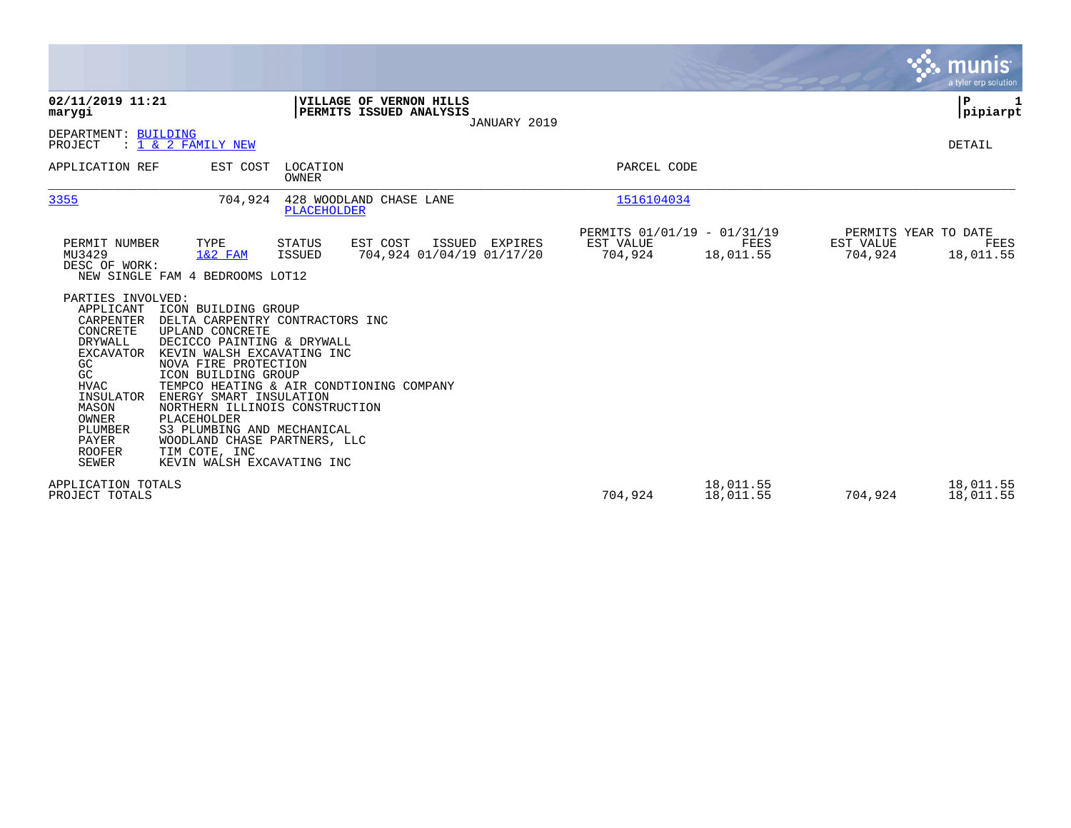|                                                                                                                                                                                                              |                                                                                                                                                                                                                                                                                                                                                                                                                           |                         |                                                           |                |                                                     |                        |                      | <b>munis</b><br>a tyler erp solution      |
|--------------------------------------------------------------------------------------------------------------------------------------------------------------------------------------------------------------|---------------------------------------------------------------------------------------------------------------------------------------------------------------------------------------------------------------------------------------------------------------------------------------------------------------------------------------------------------------------------------------------------------------------------|-------------------------|-----------------------------------------------------------|----------------|-----------------------------------------------------|------------------------|----------------------|-------------------------------------------|
| 02/11/2019 11:21<br>marygi                                                                                                                                                                                   |                                                                                                                                                                                                                                                                                                                                                                                                                           |                         | <b>VILLAGE OF VERNON HILLS</b><br>PERMITS ISSUED ANALYSIS | JANUARY 2019   |                                                     |                        |                      | P<br> pipiarpt                            |
| DEPARTMENT: BUILDING<br>PROJECT                                                                                                                                                                              | $: 1 \& 2$ FAMILY NEW                                                                                                                                                                                                                                                                                                                                                                                                     |                         |                                                           |                |                                                     |                        |                      | DETAIL                                    |
| APPLICATION REF                                                                                                                                                                                              | EST COST                                                                                                                                                                                                                                                                                                                                                                                                                  | LOCATION<br>OWNER       |                                                           |                | PARCEL CODE                                         |                        |                      |                                           |
| 3355                                                                                                                                                                                                         | 704,924                                                                                                                                                                                                                                                                                                                                                                                                                   | PLACEHOLDER             | 428 WOODLAND CHASE LANE                                   |                | 1516104034                                          |                        |                      |                                           |
| PERMIT NUMBER<br>MU3429<br>DESC OF WORK:                                                                                                                                                                     | TYPE<br>$1&2$ FAM<br>NEW SINGLE FAM 4 BEDROOMS LOT12                                                                                                                                                                                                                                                                                                                                                                      | <b>STATUS</b><br>ISSUED | EST COST<br>704,924 01/04/19 01/17/20                     | ISSUED EXPIRES | PERMITS 01/01/19 - 01/31/19<br>EST VALUE<br>704,924 | FEES<br>18,011.55      | EST VALUE<br>704,924 | PERMITS YEAR TO DATE<br>FEES<br>18,011.55 |
| PARTIES INVOLVED:<br>APPLICANT<br>CARPENTER<br>CONCRETE<br>DRYWALL<br><b>EXCAVATOR</b><br>GC<br>GC<br><b>HVAC</b><br>INSULATOR<br>MASON<br><b>OWNER</b><br>PLUMBER<br><b>PAYER</b><br><b>ROOFER</b><br>SEWER | ICON BUILDING GROUP<br>DELTA CARPENTRY CONTRACTORS INC<br>UPLAND CONCRETE<br>DECICCO PAINTING & DRYWALL<br>KEVIN WALSH EXCAVATING INC<br>NOVA FIRE PROTECTION<br>ICON BUILDING GROUP<br>TEMPCO HEATING & AIR CONDTIONING COMPANY<br>ENERGY SMART INSULATION<br>NORTHERN ILLINOIS CONSTRUCTION<br>PLACEHOLDER<br>S3 PLUMBING AND MECHANICAL<br>WOODLAND CHASE PARTNERS, LLC<br>TIM COTE, INC<br>KEVIN WALSH EXCAVATING INC |                         |                                                           |                |                                                     |                        |                      |                                           |
| APPLICATION TOTALS<br>PROJECT TOTALS                                                                                                                                                                         |                                                                                                                                                                                                                                                                                                                                                                                                                           |                         |                                                           |                | 704,924                                             | 18,011.55<br>18,011.55 | 704,924              | 18,011.55<br>18,011.55                    |

 $\sim$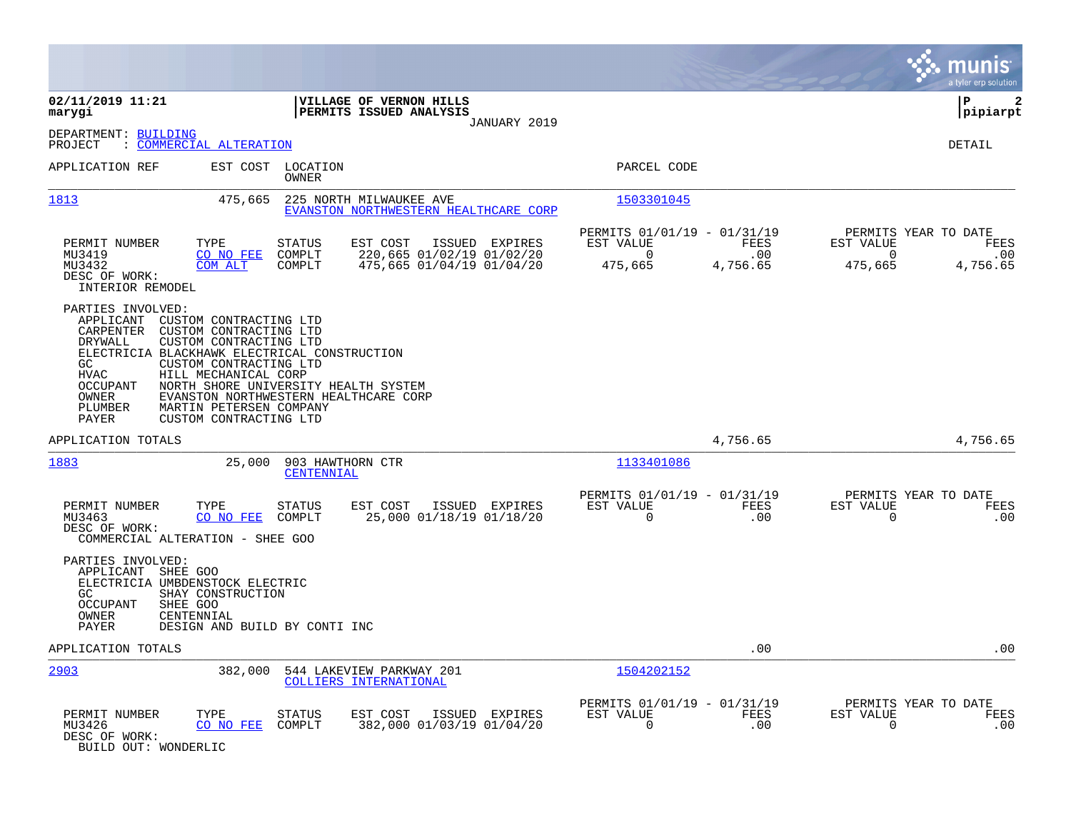|                                                                                                                                                     |                                                                                                                                                                                                                                                                                                                    |                                                                                         |                                                                 |                         | munis<br>a tyler erp solution                                                       |
|-----------------------------------------------------------------------------------------------------------------------------------------------------|--------------------------------------------------------------------------------------------------------------------------------------------------------------------------------------------------------------------------------------------------------------------------------------------------------------------|-----------------------------------------------------------------------------------------|-----------------------------------------------------------------|-------------------------|-------------------------------------------------------------------------------------|
| 02/11/2019 11:21<br>marygi                                                                                                                          |                                                                                                                                                                                                                                                                                                                    | VILLAGE OF VERNON HILLS<br>PERMITS ISSUED ANALYSIS<br>JANUARY 2019                      |                                                                 |                         | P<br>2<br> pipiarpt                                                                 |
| DEPARTMENT: BUILDING<br>PROJECT                                                                                                                     | : COMMERCIAL ALTERATION                                                                                                                                                                                                                                                                                            |                                                                                         |                                                                 |                         | <b>DETAIL</b>                                                                       |
| APPLICATION REF                                                                                                                                     | EST COST<br>LOCATION<br>OWNER                                                                                                                                                                                                                                                                                      |                                                                                         | PARCEL CODE                                                     |                         |                                                                                     |
| 1813                                                                                                                                                | 475,665                                                                                                                                                                                                                                                                                                            | 225 NORTH MILWAUKEE AVE<br>EVANSTON NORTHWESTERN HEALTHCARE CORP                        | 1503301045                                                      |                         |                                                                                     |
| PERMIT NUMBER<br>MU3419<br>MU3432<br>DESC OF WORK:<br>INTERIOR REMODEL                                                                              | TYPE<br><b>STATUS</b><br>CO NO FEE<br>COMPLT<br>COM ALT<br>COMPLT                                                                                                                                                                                                                                                  | EST COST<br>ISSUED<br>EXPIRES<br>220,665 01/02/19 01/02/20<br>475,665 01/04/19 01/04/20 | PERMITS 01/01/19 - 01/31/19<br>EST VALUE<br>$\Omega$<br>475,665 | FEES<br>.00<br>4,756.65 | PERMITS YEAR TO DATE<br>EST VALUE<br>FEES<br>$\Omega$<br>.00<br>4,756.65<br>475,665 |
| PARTIES INVOLVED:<br>APPLICANT<br>CARPENTER<br>DRYWALL<br>GC.<br><b>HVAC</b><br>OCCUPANT<br>OWNER<br>PLUMBER<br>PAYER                               | CUSTOM CONTRACTING LTD<br>CUSTOM CONTRACTING LTD<br>CUSTOM CONTRACTING LTD<br>ELECTRICIA BLACKHAWK ELECTRICAL CONSTRUCTION<br>CUSTOM CONTRACTING LTD<br>HILL MECHANICAL CORP<br>NORTH SHORE UNIVERSITY HEALTH SYSTEM<br>EVANSTON NORTHWESTERN HEALTHCARE CORP<br>MARTIN PETERSEN COMPANY<br>CUSTOM CONTRACTING LTD |                                                                                         |                                                                 |                         |                                                                                     |
| APPLICATION TOTALS                                                                                                                                  |                                                                                                                                                                                                                                                                                                                    |                                                                                         |                                                                 | 4,756.65                | 4,756.65                                                                            |
| 1883                                                                                                                                                | 25,000<br>903 HAWTHORN CTR<br><u>CENTENNIAL</u>                                                                                                                                                                                                                                                                    |                                                                                         | 1133401086                                                      |                         |                                                                                     |
| PERMIT NUMBER<br>MU3463<br>DESC OF WORK:<br>COMMERCIAL ALTERATION - SHEE GOO                                                                        | TYPE<br><b>STATUS</b><br>CO NO FEE<br>COMPLT                                                                                                                                                                                                                                                                       | EST COST<br>ISSUED EXPIRES<br>25,000 01/18/19 01/18/20                                  | PERMITS 01/01/19 - 01/31/19<br>EST VALUE<br>$\Omega$            | FEES<br>.00             | PERMITS YEAR TO DATE<br>EST VALUE<br>FEES<br>0<br>.00                               |
| PARTIES INVOLVED:<br>APPLICANT<br>SHEE GOO<br>ELECTRICIA UMBDENSTOCK ELECTRIC<br>GC.<br><b>OCCUPANT</b><br>SHEE GOO<br>OWNER<br>CENTENNIAL<br>PAYER | SHAY CONSTRUCTION<br>DESIGN AND BUILD BY CONTI INC                                                                                                                                                                                                                                                                 |                                                                                         |                                                                 |                         |                                                                                     |
| APPLICATION TOTALS                                                                                                                                  |                                                                                                                                                                                                                                                                                                                    |                                                                                         |                                                                 | .00                     | .00                                                                                 |
| 2903                                                                                                                                                | 382,000                                                                                                                                                                                                                                                                                                            | 544 LAKEVIEW PARKWAY 201<br>COLLIERS INTERNATIONAL                                      | 1504202152                                                      |                         |                                                                                     |
| PERMIT NUMBER<br>MU3426<br>DESC OF WORK:<br>BUILD OUT: WONDERLIC                                                                                    | TYPE<br><b>STATUS</b><br>CO NO FEE<br>COMPLT                                                                                                                                                                                                                                                                       | EST COST<br>ISSUED EXPIRES<br>382,000 01/03/19 01/04/20                                 | PERMITS 01/01/19 - 01/31/19<br>EST VALUE<br>$\Omega$            | FEES<br>.00             | PERMITS YEAR TO DATE<br>EST VALUE<br>FEES<br>0<br>.00                               |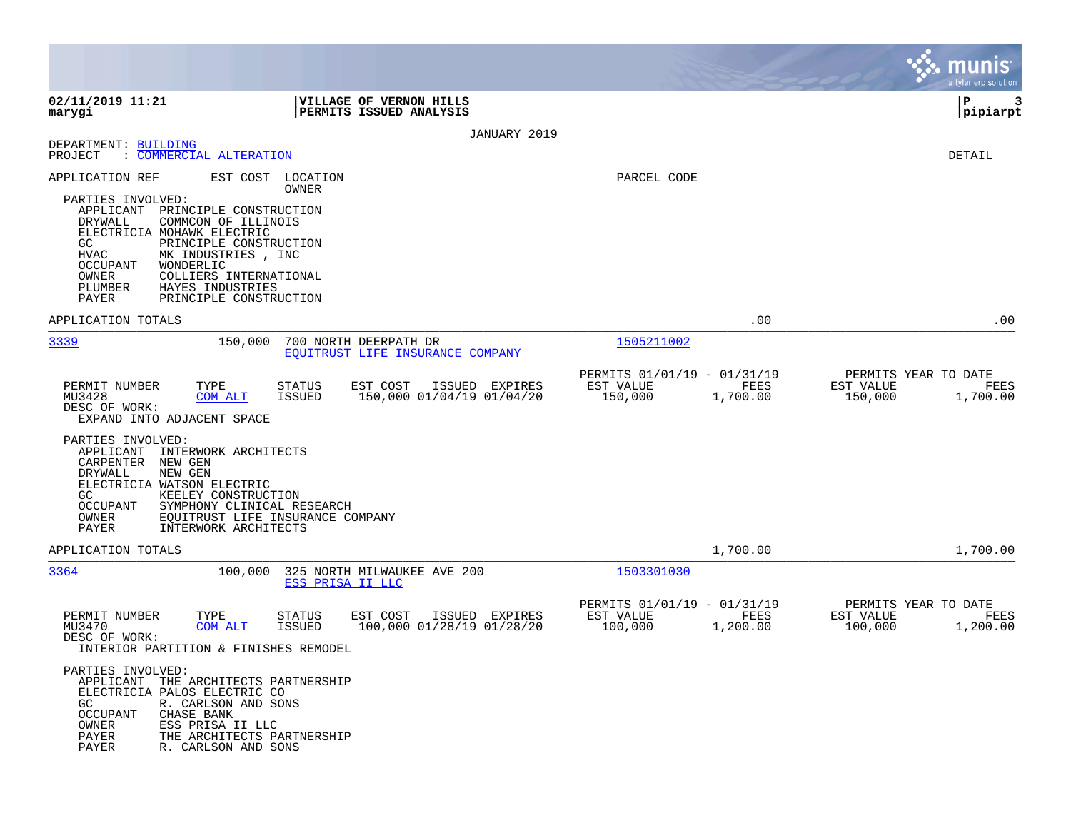|                                                                                                                                                       |                                                                                                                                             |                            |                                                           |                |                                                     |                  |                      | munis<br>a tyler erp solution            |
|-------------------------------------------------------------------------------------------------------------------------------------------------------|---------------------------------------------------------------------------------------------------------------------------------------------|----------------------------|-----------------------------------------------------------|----------------|-----------------------------------------------------|------------------|----------------------|------------------------------------------|
| 02/11/2019 11:21<br>marygi                                                                                                                            |                                                                                                                                             |                            | VILLAGE OF VERNON HILLS<br>PERMITS ISSUED ANALYSIS        |                |                                                     |                  |                      | l P<br>3<br> pipiarpt                    |
|                                                                                                                                                       |                                                                                                                                             |                            |                                                           | JANUARY 2019   |                                                     |                  |                      |                                          |
| DEPARTMENT: BUILDING<br>: COMMERCIAL ALTERATION<br>PROJECT                                                                                            |                                                                                                                                             |                            |                                                           |                |                                                     |                  |                      | DETAIL                                   |
| APPLICATION REF<br>PARTIES INVOLVED:                                                                                                                  |                                                                                                                                             | EST COST LOCATION<br>OWNER |                                                           |                | PARCEL CODE                                         |                  |                      |                                          |
| APPLICANT<br>DRYWALL<br>ELECTRICIA MOHAWK ELECTRIC<br>GC<br>HVAC<br>OCCUPANT<br>WONDERLIC<br>OWNER<br>PLUMBER                                         | PRINCIPLE CONSTRUCTION<br>COMMCON OF ILLINOIS<br>PRINCIPLE CONSTRUCTION<br>MK INDUSTRIES, INC<br>COLLIERS INTERNATIONAL<br>HAYES INDUSTRIES |                            |                                                           |                |                                                     |                  |                      |                                          |
| PAYER                                                                                                                                                 | PRINCIPLE CONSTRUCTION                                                                                                                      |                            |                                                           |                |                                                     |                  |                      |                                          |
| APPLICATION TOTALS                                                                                                                                    |                                                                                                                                             |                            |                                                           |                |                                                     | .00              |                      | .00                                      |
| 3339                                                                                                                                                  | 150,000                                                                                                                                     |                            | 700 NORTH DEERPATH DR<br>EQUITRUST LIFE INSURANCE COMPANY |                | 1505211002                                          |                  |                      |                                          |
|                                                                                                                                                       |                                                                                                                                             |                            |                                                           |                | PERMITS 01/01/19 - 01/31/19                         |                  |                      | PERMITS YEAR TO DATE                     |
| PERMIT NUMBER<br>MU3428<br>DESC OF WORK:<br>EXPAND INTO ADJACENT SPACE                                                                                | TYPE<br>COM ALT                                                                                                                             | <b>STATUS</b><br>ISSUED    | EST COST<br>150,000 01/04/19 01/04/20                     | ISSUED EXPIRES | EST VALUE<br>150,000                                | FEES<br>1,700.00 | EST VALUE<br>150,000 | FEES<br>1,700.00                         |
| PARTIES INVOLVED:<br>APPLICANT<br>CARPENTER<br>NEW GEN<br>DRYWALL<br>NEW GEN<br>ELECTRICIA WATSON ELECTRIC<br>GC<br><b>OCCUPANT</b><br>OWNER<br>PAYER | INTERWORK ARCHITECTS<br>KEELEY CONSTRUCTION<br>SYMPHONY CLINICAL RESEARCH<br>EQUITRUST LIFE INSURANCE COMPANY<br>INTERWORK ARCHITECTS       |                            |                                                           |                |                                                     |                  |                      |                                          |
| APPLICATION TOTALS                                                                                                                                    |                                                                                                                                             |                            |                                                           |                |                                                     | 1,700.00         |                      | 1,700.00                                 |
| 3364                                                                                                                                                  | 100,000                                                                                                                                     | ESS PRISA II LLC           | 325 NORTH MILWAUKEE AVE 200                               |                | 1503301030                                          |                  |                      |                                          |
| PERMIT NUMBER<br>MU3470<br>DESC OF WORK:<br>INTERIOR PARTITION & FINISHES REMODEL                                                                     | TYPE<br><b>COM ALT</b>                                                                                                                      | <b>STATUS</b><br>ISSUED    | EST COST<br>100,000 01/28/19 01/28/20                     | ISSUED EXPIRES | PERMITS 01/01/19 - 01/31/19<br>EST VALUE<br>100,000 | FEES<br>1,200.00 | EST VALUE<br>100,000 | PERMITS YEAR TO DATE<br>FEES<br>1,200.00 |
| PARTIES INVOLVED:<br>APPLICANT THE ARCHITECTS PARTNERSHIP<br>ELECTRICIA PALOS ELECTRIC CO<br>GC<br>OCCUPANT<br>OWNER<br>PAYER<br>PAYER                | R. CARLSON AND SONS<br>CHASE BANK<br>ESS PRISA II LLC<br>THE ARCHITECTS PARTNERSHIP<br>R. CARLSON AND SONS                                  |                            |                                                           |                |                                                     |                  |                      |                                          |

**Contract**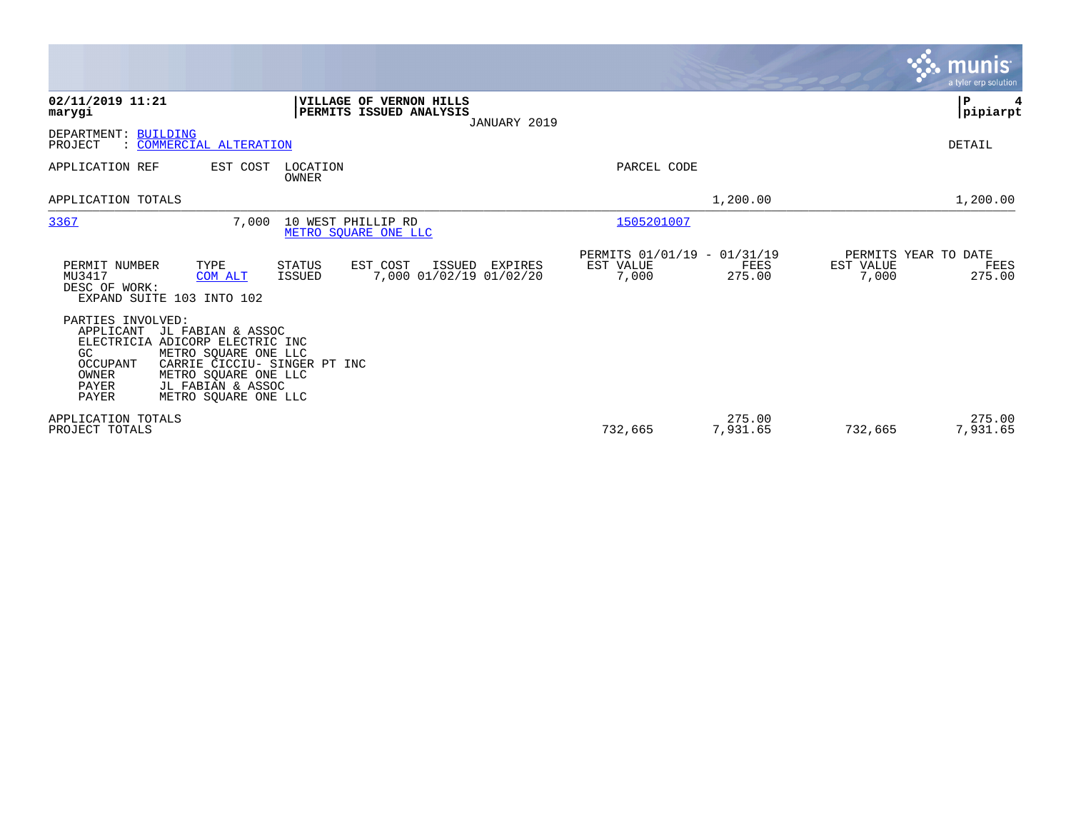|                                                                                                                                                                                                                                                                   |                                                                     | munis<br>a tyler erp solution                                |
|-------------------------------------------------------------------------------------------------------------------------------------------------------------------------------------------------------------------------------------------------------------------|---------------------------------------------------------------------|--------------------------------------------------------------|
| 02/11/2019 11:21<br>VILLAGE OF VERNON HILLS<br>PERMITS ISSUED ANALYSIS<br>marygi<br>JANUARY 2019                                                                                                                                                                  |                                                                     | P<br> pipiarpt                                               |
| DEPARTMENT: BUILDING<br>PROJECT<br>: COMMERCIAL ALTERATION                                                                                                                                                                                                        |                                                                     | DETAIL                                                       |
| APPLICATION REF<br>EST COST<br>LOCATION<br><b>OWNER</b>                                                                                                                                                                                                           | PARCEL CODE                                                         |                                                              |
| APPLICATION TOTALS                                                                                                                                                                                                                                                | 1,200.00                                                            | 1,200.00                                                     |
| 3367<br>7,000<br>10 WEST PHILLIP RD<br>METRO SOUARE ONE LLC                                                                                                                                                                                                       | 1505201007                                                          |                                                              |
| PERMIT NUMBER<br>TYPE<br><b>STATUS</b><br>EST COST<br>ISSUED<br>EXPIRES<br>7,000 01/02/19 01/02/20<br>MU3417<br>ISSUED<br>COM ALT<br>DESC OF WORK:<br>EXPAND SUITE 103 INTO 102                                                                                   | PERMITS 01/01/19 - 01/31/19<br>EST VALUE<br>FEES<br>7,000<br>275.00 | PERMITS YEAR TO DATE<br>EST VALUE<br>FEES<br>275.00<br>7,000 |
| PARTIES INVOLVED:<br>APPLICANT<br>JL FABIAN & ASSOC<br>ELECTRICIA ADICORP ELECTRIC INC<br>METRO SQUARE ONE LLC<br>GC.<br>OCCUPANT<br>CARRIE CICCIU- SINGER PT INC<br>OWNER<br>METRO SOUARE ONE LLC<br>PAYER<br>JL FABIAN & ASSOC<br>PAYER<br>METRO SQUARE ONE LLC |                                                                     |                                                              |
| APPLICATION TOTALS<br>PROJECT TOTALS                                                                                                                                                                                                                              | 275.00<br>732,665<br>7,931.65                                       | 275.00<br>7,931.65<br>732,665                                |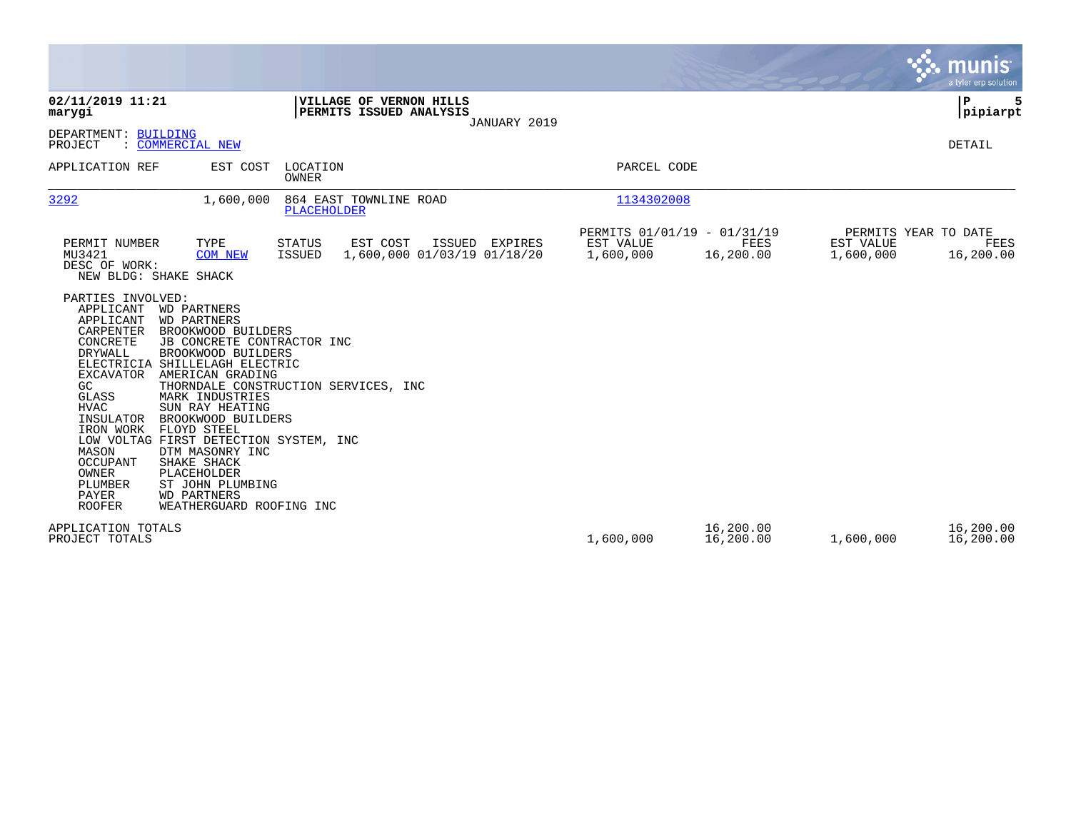|                                                                                                                                                                                                                                                                                                                                                                                                                                                                                                                                                                                                                                                                                                                                                                                  |                                               |                                                       |                        |                                                | munis<br>a tyler erp solution |
|----------------------------------------------------------------------------------------------------------------------------------------------------------------------------------------------------------------------------------------------------------------------------------------------------------------------------------------------------------------------------------------------------------------------------------------------------------------------------------------------------------------------------------------------------------------------------------------------------------------------------------------------------------------------------------------------------------------------------------------------------------------------------------|-----------------------------------------------|-------------------------------------------------------|------------------------|------------------------------------------------|-------------------------------|
| 02/11/2019 11:21<br>VILLAGE OF VERNON HILLS<br>PERMITS ISSUED ANALYSIS<br>marygi                                                                                                                                                                                                                                                                                                                                                                                                                                                                                                                                                                                                                                                                                                 | JANUARY 2019                                  |                                                       |                        |                                                | P<br>5<br> pipiarpt           |
| DEPARTMENT: BUILDING<br>: COMMERCIAL NEW<br>PROJECT                                                                                                                                                                                                                                                                                                                                                                                                                                                                                                                                                                                                                                                                                                                              |                                               |                                                       |                        |                                                | <b>DETAIL</b>                 |
| APPLICATION REF<br>EST COST<br>LOCATION<br>OWNER                                                                                                                                                                                                                                                                                                                                                                                                                                                                                                                                                                                                                                                                                                                                 |                                               | PARCEL CODE                                           |                        |                                                |                               |
| 3292<br>1,600,000<br>864 EAST TOWNLINE ROAD<br>PLACEHOLDER                                                                                                                                                                                                                                                                                                                                                                                                                                                                                                                                                                                                                                                                                                                       |                                               | 1134302008                                            |                        |                                                |                               |
| PERMIT NUMBER<br>TYPE<br>STATUS<br>EST COST<br>MU3421<br><b>COM NEW</b><br>ISSUED<br>DESC OF WORK:<br>NEW BLDG: SHAKE SHACK<br>PARTIES INVOLVED:<br>APPLICANT<br>WD PARTNERS<br>APPLICANT<br><b>WD PARTNERS</b><br>CARPENTER<br>BROOKWOOD BUILDERS<br><b>CONCRETE</b><br>JB CONCRETE CONTRACTOR INC<br>DRYWALL<br>BROOKWOOD BUILDERS<br>ELECTRICIA SHILLELAGH ELECTRIC<br>EXCAVATOR<br>AMERICAN GRADING<br>GC<br>THORNDALE CONSTRUCTION SERVICES, INC<br>GLASS<br>MARK INDUSTRIES<br><b>HVAC</b><br>SUN RAY HEATING<br>INSULATOR<br>BROOKWOOD BUILDERS<br>IRON WORK<br>FLOYD STEEL<br>LOW VOLTAG FIRST DETECTION SYSTEM, INC<br>MASON<br>DTM MASONRY INC<br><b>OCCUPANT</b><br>SHAKE SHACK<br>OWNER<br>PLACEHOLDER<br>PLUMBER<br>ST JOHN PLUMBING<br>PAYER<br><b>WD PARTNERS</b> | ISSUED EXPIRES<br>1,600,000 01/03/19 01/18/20 | PERMITS 01/01/19 - 01/31/19<br>EST VALUE<br>1,600,000 | FEES<br>16,200.00      | PERMITS YEAR TO DATE<br>EST VALUE<br>1,600,000 | FEES<br>16,200.00             |
| <b>ROOFER</b><br>WEATHERGUARD ROOFING INC<br>APPLICATION TOTALS<br>PROJECT TOTALS                                                                                                                                                                                                                                                                                                                                                                                                                                                                                                                                                                                                                                                                                                |                                               | 1,600,000                                             | 16,200.00<br>16,200.00 | 1,600,000                                      | 16,200.00<br>16,200.00        |

**Contract**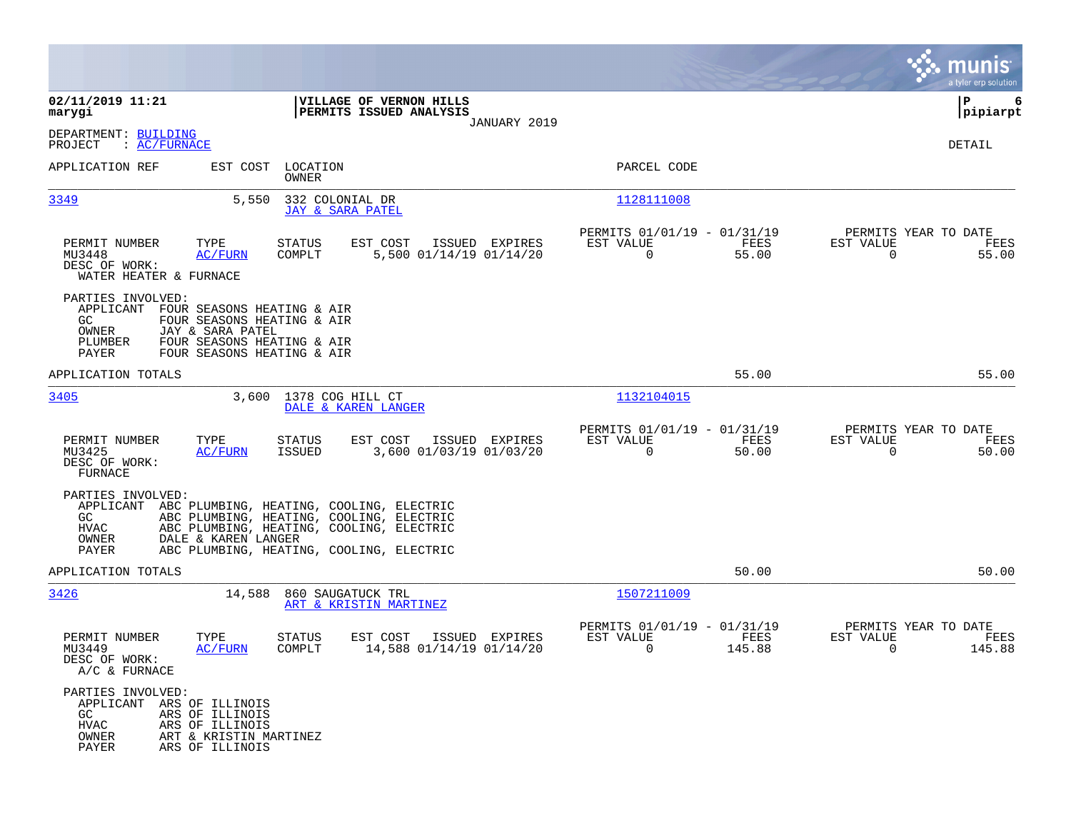|                                                                                                                                                                                                                |                                                                                                                                                                              |                                                                             | munis<br>a tyler erp solution                                     |
|----------------------------------------------------------------------------------------------------------------------------------------------------------------------------------------------------------------|------------------------------------------------------------------------------------------------------------------------------------------------------------------------------|-----------------------------------------------------------------------------|-------------------------------------------------------------------|
| 02/11/2019 11:21<br>marygi                                                                                                                                                                                     | VILLAGE OF VERNON HILLS<br>PERMITS ISSUED ANALYSIS<br>JANUARY 2019                                                                                                           |                                                                             | P<br>6<br> pipiarpt                                               |
| DEPARTMENT: BUILDING<br>: AC/FURNACE<br>PROJECT                                                                                                                                                                |                                                                                                                                                                              |                                                                             | DETAIL                                                            |
| APPLICATION REF<br>EST COST                                                                                                                                                                                    | LOCATION<br>OWNER                                                                                                                                                            | PARCEL CODE                                                                 |                                                                   |
| 3349<br>5,550                                                                                                                                                                                                  | 332 COLONIAL DR<br>JAY & SARA PATEL                                                                                                                                          | 1128111008                                                                  |                                                                   |
| PERMIT NUMBER<br>TYPE<br>MU3448<br><b>AC/FURN</b><br>DESC OF WORK:<br>WATER HEATER & FURNACE                                                                                                                   | EST COST<br>STATUS<br>ISSUED EXPIRES<br>COMPLT<br>5,500 01/14/19 01/14/20                                                                                                    | PERMITS 01/01/19 - 01/31/19<br>EST VALUE<br>FEES<br>$\overline{0}$<br>55.00 | PERMITS YEAR TO DATE<br>EST VALUE<br>FEES<br>$\Omega$<br>55.00    |
| PARTIES INVOLVED:<br>APPLICANT<br>FOUR SEASONS HEATING & AIR<br>FOUR SEASONS HEATING & AIR<br>GC.<br>JAY & SARA PATEL<br>OWNER<br>PLUMBER<br>FOUR SEASONS HEATING & AIR<br>FOUR SEASONS HEATING & AIR<br>PAYER |                                                                                                                                                                              |                                                                             |                                                                   |
| APPLICATION TOTALS                                                                                                                                                                                             |                                                                                                                                                                              | 55.00                                                                       | 55.00                                                             |
| 3405<br>3,600                                                                                                                                                                                                  | 1378 COG HILL CT<br>DALE & KAREN LANGER                                                                                                                                      | 1132104015                                                                  |                                                                   |
| PERMIT NUMBER<br>TYPE<br>MU3425<br>AC/FURN<br>DESC OF WORK:<br>FURNACE                                                                                                                                         | STATUS<br>EST COST<br>ISSUED EXPIRES<br>ISSUED<br>3,600 01/03/19 01/03/20                                                                                                    | PERMITS 01/01/19 - 01/31/19<br>EST VALUE<br>FEES<br>$\overline{0}$<br>50.00 | PERMITS YEAR TO DATE<br>EST VALUE<br>FEES<br>$\mathbf 0$<br>50.00 |
| PARTIES INVOLVED:<br>APPLICANT<br>GC.<br>HVAC<br>OWNER<br>DALE & KAREN LANGER<br>PAYER                                                                                                                         | ABC PLUMBING, HEATING, COOLING, ELECTRIC<br>ABC PLUMBING, HEATING, COOLING, ELECTRIC<br>ABC PLUMBING, HEATING, COOLING, ELECTRIC<br>ABC PLUMBING, HEATING, COOLING, ELECTRIC |                                                                             |                                                                   |
| APPLICATION TOTALS                                                                                                                                                                                             |                                                                                                                                                                              | 50.00                                                                       | 50.00                                                             |
| 3426<br>14,588                                                                                                                                                                                                 | 860 SAUGATUCK TRL<br>ART & KRISTIN MARTINEZ                                                                                                                                  | 1507211009                                                                  |                                                                   |
| PERMIT NUMBER<br>TYPE<br>MU3449<br>AC/FURN<br>DESC OF WORK:<br>$A/C$ & FURNACE                                                                                                                                 | STATUS<br>EST COST<br>ISSUED EXPIRES<br>14,588 01/14/19 01/14/20<br>COMPLT                                                                                                   | PERMITS 01/01/19 - 01/31/19<br>EST VALUE<br>FEES<br>0<br>145.88             | PERMITS YEAR TO DATE<br>EST VALUE<br>FEES<br>0<br>145.88          |
| PARTIES INVOLVED:<br>APPLICANT ARS OF ILLINOIS<br>GC<br>ARS OF ILLINOIS<br>HVAC<br>ARS OF ILLINOIS<br>OWNER<br>ART & KRISTIN MARTINEZ<br>PAYER<br>ARS OF ILLINOIS                                              |                                                                                                                                                                              |                                                                             |                                                                   |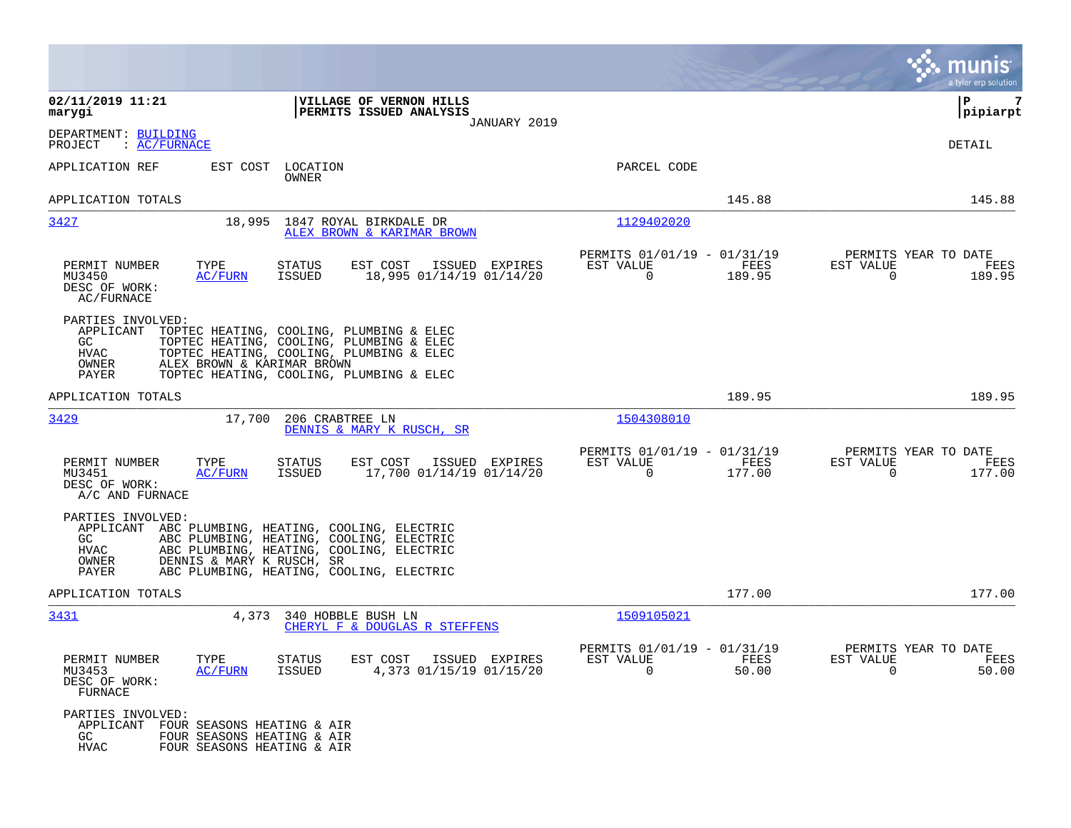|                                                                                                                                                                                                                                                                                    |                                                                    |                                                      |                | munis<br>a tyler erp solution                                   |
|------------------------------------------------------------------------------------------------------------------------------------------------------------------------------------------------------------------------------------------------------------------------------------|--------------------------------------------------------------------|------------------------------------------------------|----------------|-----------------------------------------------------------------|
| 02/11/2019 11:21<br>marygi                                                                                                                                                                                                                                                         | VILLAGE OF VERNON HILLS<br>PERMITS ISSUED ANALYSIS<br>JANUARY 2019 |                                                      |                | 7<br>ΙP<br> pipiarpt                                            |
| DEPARTMENT: BUILDING<br>PROJECT<br>: AC/FURNACE                                                                                                                                                                                                                                    |                                                                    |                                                      |                | DETAIL                                                          |
| EST COST<br>LOCATION<br>APPLICATION REF<br>OWNER                                                                                                                                                                                                                                   |                                                                    | PARCEL CODE                                          |                |                                                                 |
| APPLICATION TOTALS                                                                                                                                                                                                                                                                 |                                                                    |                                                      | 145.88         | 145.88                                                          |
| 3427<br>18,995                                                                                                                                                                                                                                                                     | 1847 ROYAL BIRKDALE DR<br>ALEX BROWN & KARIMAR BROWN               | 1129402020                                           |                |                                                                 |
| PERMIT NUMBER<br>TYPE<br><b>STATUS</b><br>MU3450<br><b>AC/FURN</b><br><b>ISSUED</b><br>DESC OF WORK:<br>AC/FURNACE                                                                                                                                                                 | EST COST<br>ISSUED EXPIRES<br>18,995 01/14/19 01/14/20             | PERMITS 01/01/19 - 01/31/19<br>EST VALUE<br>$\Omega$ | FEES<br>189.95 | PERMITS YEAR TO DATE<br>EST VALUE<br>FEES<br>$\Omega$<br>189.95 |
| PARTIES INVOLVED:<br>APPLICANT<br>TOPTEC HEATING, COOLING, PLUMBING & ELEC<br>TOPTEC HEATING, COOLING, PLUMBING & ELEC<br>GC<br>HVAC<br>TOPTEC HEATING, COOLING, PLUMBING & ELEC<br>ALEX BROWN & KARIMAR BROWN<br>OWNER<br>TOPTEC HEATING, COOLING, PLUMBING & ELEC<br>PAYER       |                                                                    |                                                      |                |                                                                 |
| APPLICATION TOTALS                                                                                                                                                                                                                                                                 |                                                                    |                                                      | 189.95         | 189.95                                                          |
| 3429<br>17,700<br>206 CRABTREE LN                                                                                                                                                                                                                                                  | DENNIS & MARY K RUSCH, SR                                          | 1504308010                                           |                |                                                                 |
| PERMIT NUMBER<br>TYPE<br><b>STATUS</b><br><b>ISSUED</b><br>MU3451<br><b>AC/FURN</b><br>DESC OF WORK:<br>A/C AND FURNACE                                                                                                                                                            | EST COST<br>ISSUED EXPIRES<br>17,700 01/14/19 01/14/20             | PERMITS 01/01/19 - 01/31/19<br>EST VALUE<br>$\Omega$ | FEES<br>177.00 | PERMITS YEAR TO DATE<br>EST VALUE<br>FEES<br>$\Omega$<br>177.00 |
| PARTIES INVOLVED:<br>APPLICANT<br>ABC PLUMBING, HEATING, COOLING, ELECTRIC<br>ABC PLUMBING, HEATING, COOLING, ELECTRIC<br>GC<br><b>HVAC</b><br>ABC PLUMBING, HEATING, COOLING, ELECTRIC<br>OWNER<br>DENNIS & MARY K RUSCH, SR<br>PAYER<br>ABC PLUMBING, HEATING, COOLING, ELECTRIC |                                                                    |                                                      |                |                                                                 |
| APPLICATION TOTALS                                                                                                                                                                                                                                                                 |                                                                    |                                                      | 177.00         | 177.00                                                          |
| <u>3431</u><br>4,373 340 HOBBLE BUSH LN                                                                                                                                                                                                                                            | CHERYL F & DOUGLAS R STEFFENS                                      | 1509105021                                           |                |                                                                 |
| PERMIT NUMBER<br>TYPE<br>STATUS<br>MU3453<br><b>AC/FURN</b><br>ISSUED<br>DESC OF WORK:<br>FURNACE                                                                                                                                                                                  | EST COST<br>ISSUED EXPIRES<br>4,373 01/15/19 01/15/20              | PERMITS 01/01/19 - 01/31/19<br>EST VALUE<br>0        | FEES<br>50.00  | PERMITS YEAR TO DATE<br>EST VALUE<br>FEES<br>50.00<br>0         |
| PARTIES INVOLVED:<br>APPLICANT<br>FOUR SEASONS HEATING & AIR<br>GC.<br>FOUR SEASONS HEATING & AIR<br><b>HVAC</b><br>FOUR SEASONS HEATING & AIR                                                                                                                                     |                                                                    |                                                      |                |                                                                 |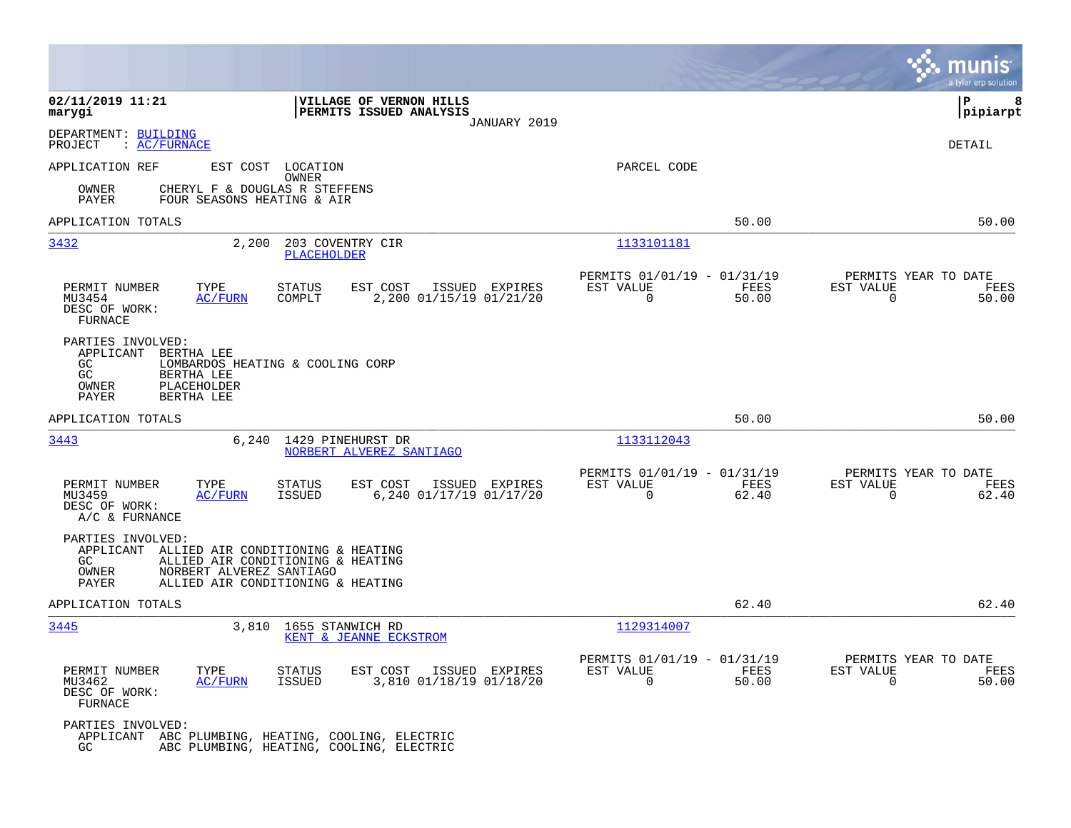|                                                                                                                       |                                                                                                                                                   |                                                                       | munis<br>a tyler erp solution                                     |
|-----------------------------------------------------------------------------------------------------------------------|---------------------------------------------------------------------------------------------------------------------------------------------------|-----------------------------------------------------------------------|-------------------------------------------------------------------|
| 02/11/2019 11:21<br>marygi                                                                                            | VILLAGE OF VERNON HILLS<br>PERMITS ISSUED ANALYSIS<br>JANUARY 2019                                                                                |                                                                       | ΙP<br>8<br> pipiarpt                                              |
| DEPARTMENT: BUILDING<br>: AC/FURNACE<br>PROJECT                                                                       |                                                                                                                                                   |                                                                       | DETAIL                                                            |
| APPLICATION REF                                                                                                       | EST COST LOCATION                                                                                                                                 | PARCEL CODE                                                           |                                                                   |
| OWNER<br>PAYER                                                                                                        | OWNER<br>CHERYL F & DOUGLAS R STEFFENS<br>FOUR SEASONS HEATING & AIR                                                                              |                                                                       |                                                                   |
| APPLICATION TOTALS                                                                                                    |                                                                                                                                                   | 50.00                                                                 | 50.00                                                             |
| 3432                                                                                                                  | 2,200<br>203 COVENTRY CIR<br><b>PLACEHOLDER</b>                                                                                                   | 1133101181                                                            |                                                                   |
| PERMIT NUMBER<br>TYPE<br>MU3454<br>AC/FURN<br>DESC OF WORK:<br><b>FURNACE</b>                                         | <b>STATUS</b><br>EST COST<br>ISSUED EXPIRES<br>2,200 01/15/19 01/21/20<br>COMPLT                                                                  | PERMITS 01/01/19 - 01/31/19<br>EST VALUE<br>FEES<br>0<br>50.00        | PERMITS YEAR TO DATE<br>EST VALUE<br>FEES<br>0<br>50.00           |
| PARTIES INVOLVED:<br>APPLICANT<br>BERTHA LEE<br>GC<br>GC<br>BERTHA LEE<br>OWNER<br>PLACEHOLDER<br>BERTHA LEE<br>PAYER | LOMBARDOS HEATING & COOLING CORP                                                                                                                  |                                                                       |                                                                   |
| APPLICATION TOTALS                                                                                                    |                                                                                                                                                   | 50.00                                                                 | 50.00                                                             |
| 3443                                                                                                                  | 6,240<br>1429 PINEHURST DR<br>NORBERT ALVEREZ SANTIAGO                                                                                            | 1133112043                                                            |                                                                   |
| PERMIT NUMBER<br>TYPE<br>MU3459<br><b>AC/FURN</b><br>DESC OF WORK:<br>A/C & FURNANCE                                  | <b>STATUS</b><br>EST COST<br>ISSUED<br>EXPIRES<br><b>ISSUED</b><br>6,240 01/17/19 01/17/20                                                        | PERMITS 01/01/19 - 01/31/19<br>EST VALUE<br>FEES<br>$\Omega$<br>62.40 | PERMITS YEAR TO DATE<br>EST VALUE<br>FEES<br>$\mathbf 0$<br>62.40 |
| PARTIES INVOLVED:<br>GC.<br>OWNER<br>PAYER                                                                            | APPLICANT ALLIED AIR CONDITIONING & HEATING<br>ALLIED AIR CONDITIONING & HEATING<br>NORBERT ALVEREZ SANTIAGO<br>ALLIED AIR CONDITIONING & HEATING |                                                                       |                                                                   |
| APPLICATION TOTALS                                                                                                    |                                                                                                                                                   | 62.40                                                                 | 62.40                                                             |
| 3445                                                                                                                  | 1655 STANWICH RD<br>3,810<br>KENT & JEANNE ECKSTROM                                                                                               | 1129314007                                                            |                                                                   |
| PERMIT NUMBER<br>TYPE<br>MU3462<br>AC/FURN<br>DESC OF WORK:<br>FURNACE                                                | EST COST<br><b>STATUS</b><br>ISSUED EXPIRES<br><b>ISSUED</b><br>3,810 01/18/19 01/18/20                                                           | PERMITS 01/01/19 - 01/31/19<br>EST VALUE<br>FEES<br>0<br>50.00        | PERMITS YEAR TO DATE<br>EST VALUE<br>FEES<br>$\mathbf 0$<br>50.00 |
| PARTIES INVOLVED:<br>GC                                                                                               | APPLICANT ABC PLUMBING, HEATING, COOLING, ELECTRIC<br>ABC PLUMBING, HEATING, COOLING, ELECTRIC                                                    |                                                                       |                                                                   |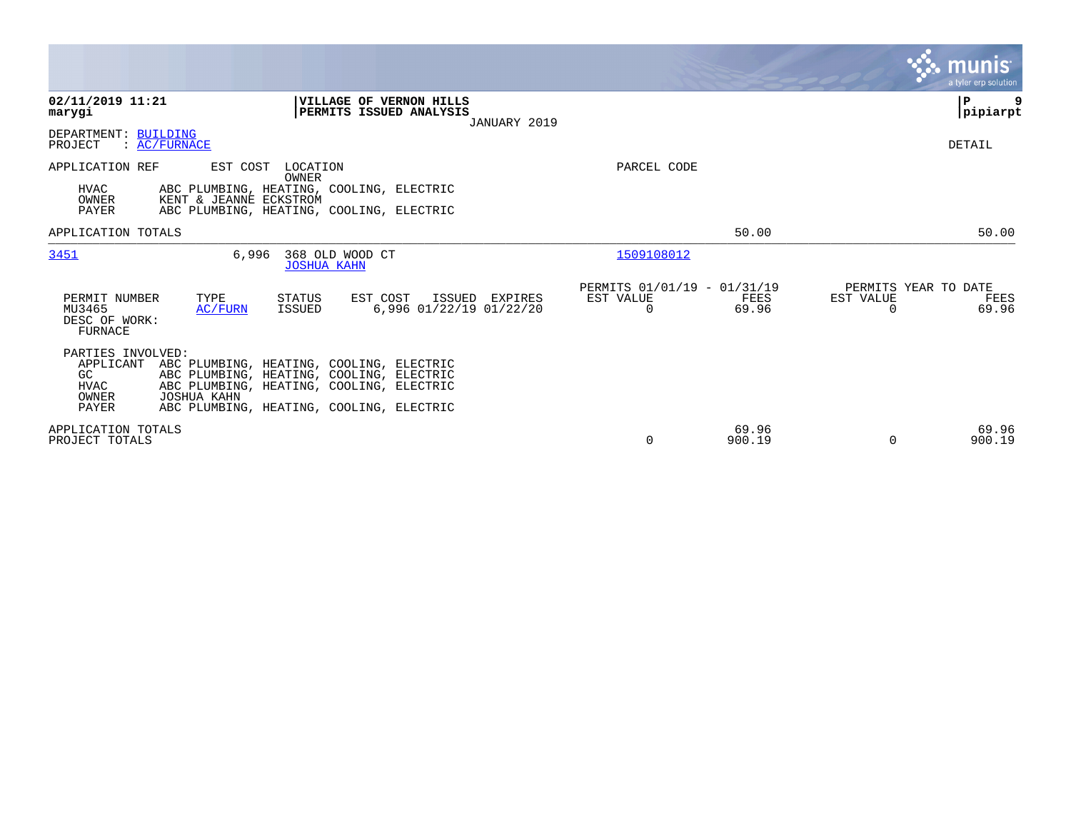|                                                                                                                                                                                                                                                                      |                                                                       | <b>munis</b><br>a tyler erp solution                           |
|----------------------------------------------------------------------------------------------------------------------------------------------------------------------------------------------------------------------------------------------------------------------|-----------------------------------------------------------------------|----------------------------------------------------------------|
| 02/11/2019 11:21<br><b>VILLAGE OF VERNON HILLS</b><br>PERMITS ISSUED ANALYSIS<br>marygi<br>JANUARY 2019                                                                                                                                                              |                                                                       | ∣P<br>$ $ pipiarpt                                             |
| DEPARTMENT: BUILDING<br>: AC/FURNACE<br>PROJECT                                                                                                                                                                                                                      |                                                                       | DETAIL                                                         |
| APPLICATION REF<br>EST COST<br>LOCATION<br>OWNER<br><b>HVAC</b><br>ABC PLUMBING, HEATING, COOLING, ELECTRIC<br>OWNER<br>KENT & JEANNE ECKSTROM<br>PAYER<br>ABC PLUMBING, HEATING, COOLING, ELECTRIC                                                                  | PARCEL CODE                                                           |                                                                |
| APPLICATION TOTALS                                                                                                                                                                                                                                                   | 50.00                                                                 | 50.00                                                          |
| 6,996<br>368 OLD WOOD CT<br>3451<br><b>JOSHUA KAHN</b>                                                                                                                                                                                                               | 1509108012                                                            |                                                                |
| TYPE<br>EST COST<br>PERMIT NUMBER<br>STATUS<br>ISSUED EXPIRES<br>MU3465<br>6,996 01/22/19 01/22/20<br>AC/FURN<br>ISSUED<br>DESC OF WORK:<br>FURNACE                                                                                                                  | PERMITS 01/01/19 - 01/31/19<br>EST VALUE<br>FEES<br>$\Omega$<br>69.96 | PERMITS YEAR TO DATE<br>EST VALUE<br>FEES<br>$\Omega$<br>69.96 |
| PARTIES INVOLVED:<br>ABC PLUMBING, HEATING, COOLING, ELECTRIC<br>APPLICANT<br>ABC PLUMBING, HEATING, COOLING, ELECTRIC<br>GC<br>ABC PLUMBING, HEATING, COOLING, ELECTRIC<br><b>HVAC</b><br>JOSHUA KAHN<br>OWNER<br>PAYER<br>ABC PLUMBING, HEATING, COOLING, ELECTRIC |                                                                       |                                                                |
| APPLICATION TOTALS<br>PROJECT TOTALS                                                                                                                                                                                                                                 | 69.96<br>$\Omega$<br>900.19                                           | 69.96<br>$\Omega$<br>900.19                                    |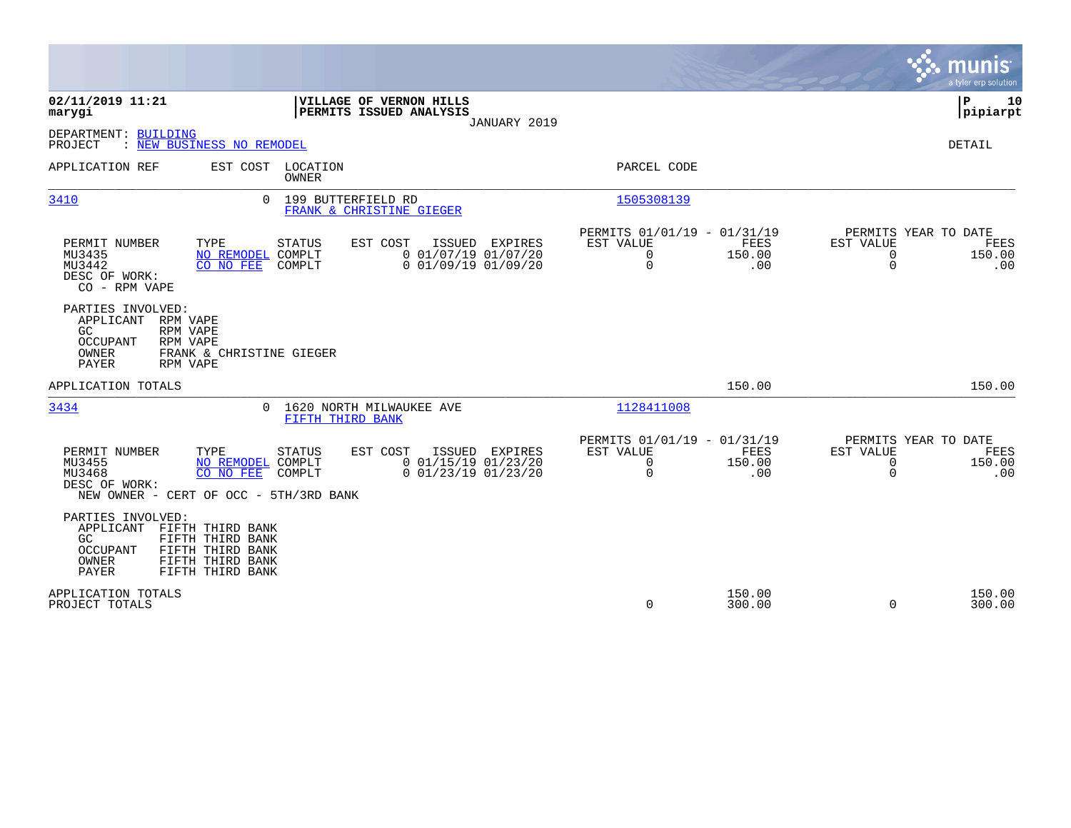|                                                                                                                                                                                                                                            | munis<br>a tyler erp solution                                                                                                                                                     |
|--------------------------------------------------------------------------------------------------------------------------------------------------------------------------------------------------------------------------------------------|-----------------------------------------------------------------------------------------------------------------------------------------------------------------------------------|
| 02/11/2019 11:21<br>VILLAGE OF VERNON HILLS<br>PERMITS ISSUED ANALYSIS<br>marygi<br>JANUARY 2019                                                                                                                                           | ΙP<br>10<br> pipiarpt                                                                                                                                                             |
| DEPARTMENT: BUILDING<br>: NEW BUSINESS NO REMODEL<br>PROJECT                                                                                                                                                                               | <b>DETAIL</b>                                                                                                                                                                     |
| LOCATION<br>APPLICATION REF<br>EST COST<br>OWNER                                                                                                                                                                                           | PARCEL CODE                                                                                                                                                                       |
| 3410<br>$\cap$<br>199 BUTTERFIELD RD<br>FRANK & CHRISTINE GIEGER                                                                                                                                                                           | 1505308139                                                                                                                                                                        |
| PERMIT NUMBER<br>TYPE<br>EST COST<br><b>ISSUED</b><br><b>STATUS</b><br>EXPIRES<br>$0$ 01/07/19 01/07/20<br>MU3435<br>NO REMODEL COMPLT<br>$0$ $01/09/19$ $01/09/20$<br>MU3442<br>CO NO FEE<br>COMPLT<br>DESC OF WORK:<br>CO - RPM VAPE     | PERMITS 01/01/19 - 01/31/19<br>PERMITS YEAR TO DATE<br>EST VALUE<br>FEES<br>EST VALUE<br>FEES<br>0<br>150.00<br>$\mathbf 0$<br>150.00<br>$\mathbf 0$<br>$\mathbf 0$<br>.00<br>.00 |
| PARTIES INVOLVED:<br>APPLICANT<br>RPM VAPE<br>GC.<br>RPM VAPE<br><b>OCCUPANT</b><br>RPM VAPE<br>OWNER<br>FRANK & CHRISTINE GIEGER<br><b>PAYER</b><br>RPM VAPE                                                                              |                                                                                                                                                                                   |
| APPLICATION TOTALS                                                                                                                                                                                                                         | 150.00<br>150.00                                                                                                                                                                  |
| 3434<br>1620 NORTH MILWAUKEE AVE<br>$\Omega$<br>FIFTH THIRD BANK                                                                                                                                                                           | 1128411008                                                                                                                                                                        |
| PERMIT NUMBER<br>TYPE<br>EST COST<br>ISSUED EXPIRES<br>STATUS<br>MU3455<br>$0$ 01/15/19 01/23/20<br>NO REMODEL COMPLT<br>MU3468<br>CO NO FEE<br>COMPLT<br>$0$ 01/23/19 01/23/20<br>DESC OF WORK:<br>NEW OWNER - CERT OF OCC - 5TH/3RD BANK | PERMITS 01/01/19 - 01/31/19<br>PERMITS YEAR TO DATE<br>FEES<br>EST VALUE<br>EST VALUE<br>FEES<br>0<br>150.00<br>$\mathbf 0$<br>150.00<br>$\mathbf 0$<br>$\Omega$<br>.00<br>.00    |
| PARTIES INVOLVED:<br>APPLICANT<br>FIFTH THIRD BANK<br>FIFTH THIRD BANK<br>GC.<br>FIFTH THIRD BANK<br>OCCUPANT<br>FIFTH THIRD BANK<br>OWNER<br>PAYER<br>FIFTH THIRD BANK                                                                    |                                                                                                                                                                                   |
| APPLICATION TOTALS<br>PROJECT TOTALS                                                                                                                                                                                                       | 150.00<br>150.00<br>0<br>300.00<br>$\Omega$<br>300.00                                                                                                                             |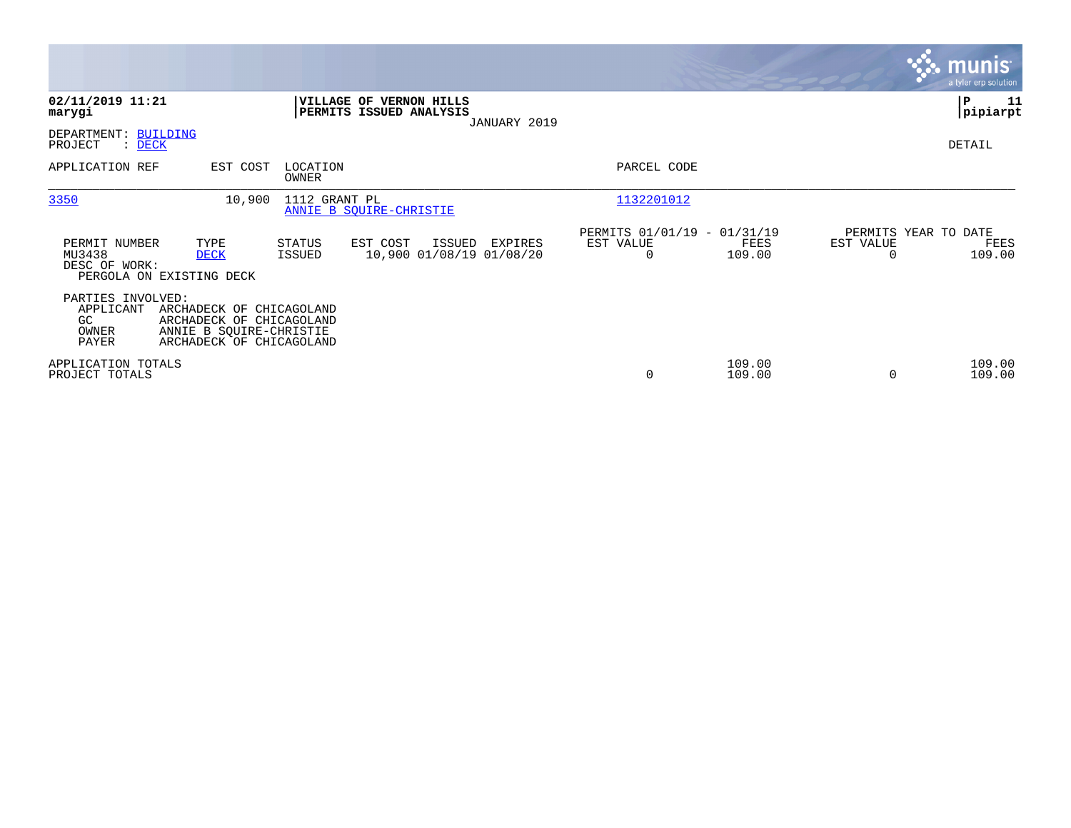|                                                         |                                                                                                             |                   |                                                    |              |                                                      |                  |                                               | <b>munis</b><br>a tyler erp solution |
|---------------------------------------------------------|-------------------------------------------------------------------------------------------------------------|-------------------|----------------------------------------------------|--------------|------------------------------------------------------|------------------|-----------------------------------------------|--------------------------------------|
| 02/11/2019 11:21<br>marygi                              |                                                                                                             |                   | VILLAGE OF VERNON HILLS<br>PERMITS ISSUED ANALYSIS | JANUARY 2019 |                                                      |                  |                                               | P<br>11<br> pipiarpt                 |
| DEPARTMENT: BUILDING<br>PROJECT<br>$\therefore$ DECK    |                                                                                                             |                   |                                                    |              |                                                      |                  |                                               | DETAIL                               |
| APPLICATION REF                                         | EST COST                                                                                                    | LOCATION<br>OWNER |                                                    |              | PARCEL CODE                                          |                  |                                               |                                      |
| 3350                                                    | 10,900                                                                                                      | 1112 GRANT PL     | ANNIE B SOUIRE-CHRISTIE                            |              | 1132201012                                           |                  |                                               |                                      |
| PERMIT NUMBER<br>MU3438<br>DESC OF WORK:                | TYPE<br><b>DECK</b><br>PERGOLA ON EXISTING DECK                                                             | STATUS<br>ISSUED  | EST COST<br>ISSUED<br>10,900 01/08/19 01/08/20     | EXPIRES      | PERMITS 01/01/19 - 01/31/19<br>EST VALUE<br>$\Omega$ | FEES<br>109.00   | PERMITS YEAR TO DATE<br>EST VALUE<br>$\Omega$ | FEES<br>109.00                       |
| PARTIES INVOLVED:<br>APPLICANT<br>GC.<br>OWNER<br>PAYER | ARCHADECK OF CHICAGOLAND<br>ARCHADECK OF CHICAGOLAND<br>ANNIE B SQUIRE-CHRISTIE<br>ARCHADECK OF CHICAGOLAND |                   |                                                    |              |                                                      |                  |                                               |                                      |
| APPLICATION TOTALS<br>PROJECT TOTALS                    |                                                                                                             |                   |                                                    |              | 0                                                    | 109.00<br>109.00 | $\Omega$                                      | 109.00<br>109.00                     |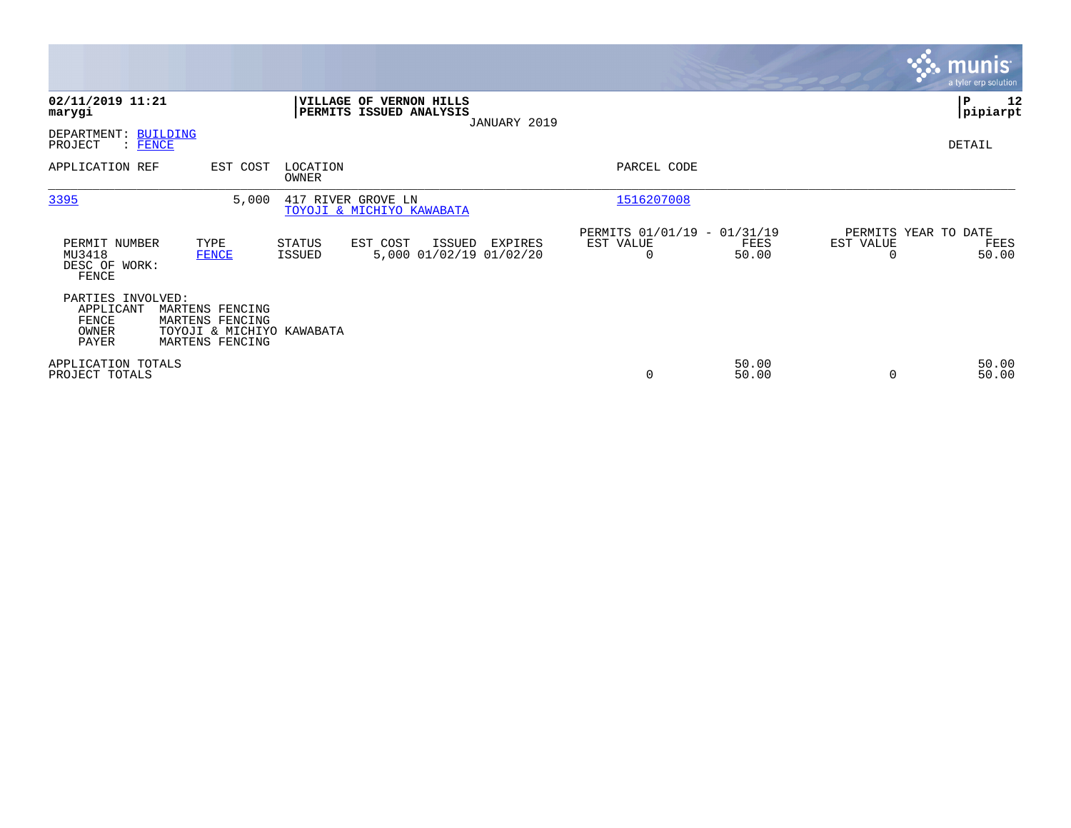|                                                                                                                    |                                                                              |                                                                       | <b>munis</b><br>a tyler erp solution               |
|--------------------------------------------------------------------------------------------------------------------|------------------------------------------------------------------------------|-----------------------------------------------------------------------|----------------------------------------------------|
| 02/11/2019 11:21<br>marygi                                                                                         | VILLAGE OF VERNON HILLS<br>PERMITS ISSUED ANALYSIS<br>JANUARY 2019           |                                                                       | ∣₽<br>12<br> pipiarpt                              |
| DEPARTMENT: BUILDING<br>PROJECT<br>$:$ FENCE                                                                       |                                                                              |                                                                       | DETAIL                                             |
| APPLICATION REF<br>EST COST                                                                                        | LOCATION<br>OWNER                                                            | PARCEL CODE                                                           |                                                    |
| 3395                                                                                                               | 5,000<br>417 RIVER GROVE LN<br>TOYOJI & MICHIYO KAWABATA                     | 1516207008                                                            |                                                    |
| PERMIT NUMBER<br>TYPE<br>MU3418<br><b>FENCE</b><br>DESC OF WORK:<br>FENCE                                          | STATUS<br>EST COST<br>ISSUED<br>EXPIRES<br>5,000 01/02/19 01/02/20<br>ISSUED | PERMITS 01/01/19 - 01/31/19<br>EST VALUE<br>FEES<br>$\Omega$<br>50.00 | PERMITS YEAR TO DATE<br>EST VALUE<br>FEES<br>50.00 |
| PARTIES INVOLVED:<br>APPLICANT<br>MARTENS FENCING<br>FENCE<br>MARTENS FENCING<br>OWNER<br>PAYER<br>MARTENS FENCING | TOYOJI & MICHIYO KAWABATA                                                    |                                                                       |                                                    |
| APPLICATION TOTALS<br>PROJECT TOTALS                                                                               |                                                                              | 50.00<br>0<br>50.00                                                   | 50.00<br>50.00                                     |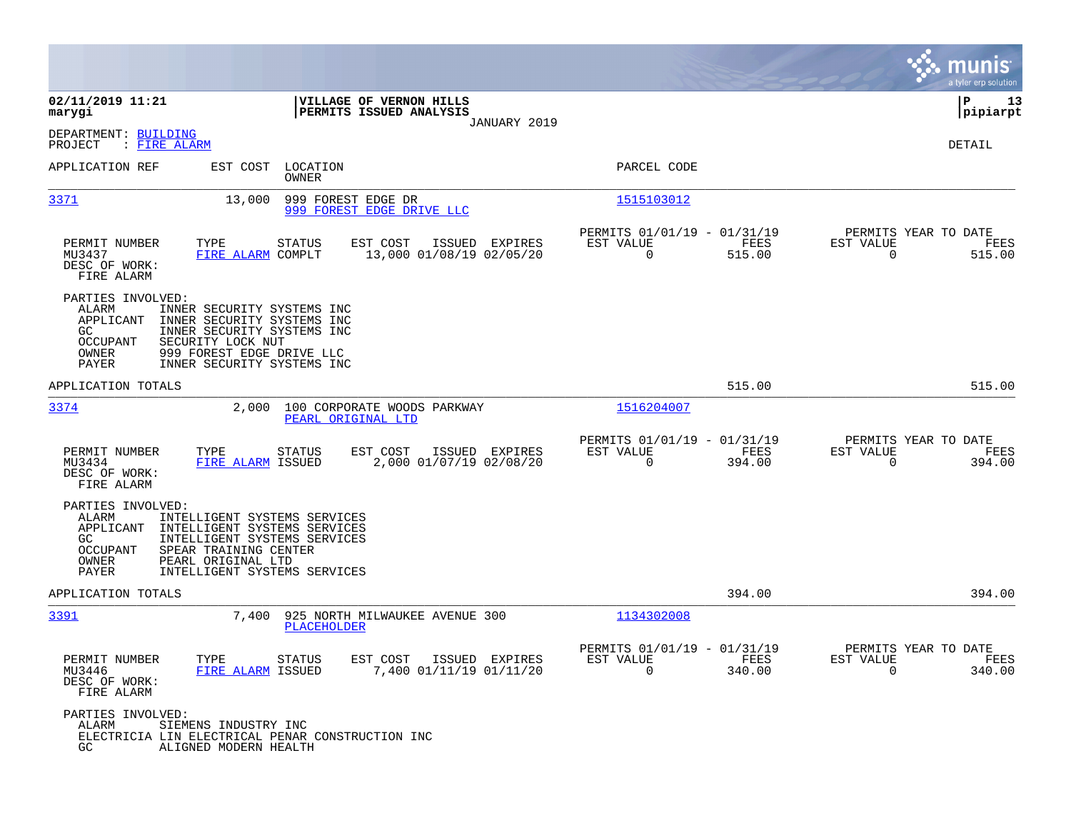|                                                                                                                                                                                                                                                                   |                                               |                                                         |                             | munis<br>a tyler erp solution                         |
|-------------------------------------------------------------------------------------------------------------------------------------------------------------------------------------------------------------------------------------------------------------------|-----------------------------------------------|---------------------------------------------------------|-----------------------------|-------------------------------------------------------|
| VILLAGE OF VERNON HILLS<br>02/11/2019 11:21<br>PERMITS ISSUED ANALYSIS<br>marygi                                                                                                                                                                                  |                                               |                                                         |                             | P<br>13<br> pipiarpt                                  |
| DEPARTMENT: BUILDING<br>: FIRE ALARM<br>PROJECT                                                                                                                                                                                                                   | JANUARY 2019                                  |                                                         |                             | <b>DETAIL</b>                                         |
| APPLICATION REF<br>EST COST<br>LOCATION<br>OWNER                                                                                                                                                                                                                  |                                               | PARCEL CODE                                             |                             |                                                       |
| <u>3371</u><br>999 FOREST EDGE DR<br>13,000<br>999 FOREST EDGE DRIVE LLC                                                                                                                                                                                          |                                               | 1515103012                                              |                             |                                                       |
| PERMIT NUMBER<br>TYPE<br><b>STATUS</b><br>EST COST<br>MU3437<br>FIRE ALARM COMPLT<br>DESC OF WORK:<br>FIRE ALARM                                                                                                                                                  | ISSUED<br>EXPIRES<br>13,000 01/08/19 02/05/20 | PERMITS 01/01/19 - 01/31/19<br>EST VALUE<br>0           | FEES<br>EST VALUE<br>515.00 | PERMITS YEAR TO DATE<br>FEES<br>$\mathbf 0$<br>515.00 |
| PARTIES INVOLVED:<br>ALARM<br>INNER SECURITY SYSTEMS INC<br>APPLICANT<br>INNER SECURITY SYSTEMS INC<br>GC.<br>INNER SECURITY SYSTEMS INC<br>SECURITY LOCK NUT<br>OCCUPANT<br>OWNER<br>999 FOREST EDGE DRIVE LLC<br>PAYER<br>INNER SECURITY SYSTEMS INC            |                                               |                                                         |                             |                                                       |
| APPLICATION TOTALS                                                                                                                                                                                                                                                |                                               |                                                         | 515.00                      | 515.00                                                |
| 3374<br>2,000<br>100 CORPORATE WOODS PARKWAY<br>PEARL ORIGINAL LTD                                                                                                                                                                                                |                                               | 1516204007                                              |                             |                                                       |
| PERMIT NUMBER<br>TYPE<br>EST COST<br>STATUS<br>MU3434<br>FIRE ALARM ISSUED<br>DESC OF WORK:<br>FIRE ALARM                                                                                                                                                         | ISSUED EXPIRES<br>2,000 01/07/19 02/08/20     | PERMITS 01/01/19 - 01/31/19<br>EST VALUE<br>0           | FEES<br>EST VALUE<br>394.00 | PERMITS YEAR TO DATE<br>FEES<br>0<br>394.00           |
| PARTIES INVOLVED:<br>ALARM<br>INTELLIGENT SYSTEMS SERVICES<br>APPLICANT<br>INTELLIGENT SYSTEMS SERVICES<br>INTELLIGENT SYSTEMS SERVICES<br>GC<br><b>OCCUPANT</b><br>SPEAR TRAINING CENTER<br>OWNER<br>PEARL ORIGINAL LTD<br>PAYER<br>INTELLIGENT SYSTEMS SERVICES |                                               |                                                         |                             |                                                       |
| APPLICATION TOTALS                                                                                                                                                                                                                                                |                                               |                                                         | 394.00                      | 394.00                                                |
| 3391<br>7,400<br>PLACEHOLDER                                                                                                                                                                                                                                      | 925 NORTH MILWAUKEE AVENUE 300                | 1134302008                                              |                             |                                                       |
| PERMIT NUMBER<br>TYPE<br><b>STATUS</b><br>EST COST<br>MU3446<br>FIRE ALARM ISSUED<br>DESC OF WORK:<br>FIRE ALARM                                                                                                                                                  | ISSUED EXPIRES<br>7,400 01/11/19 01/11/20     | PERMITS 01/01/19 - 01/31/19<br>EST VALUE<br>$\mathbf 0$ | EST VALUE<br>FEES<br>340.00 | PERMITS YEAR TO DATE<br>FEES<br>$\mathbf 0$<br>340.00 |
| PARTIES INVOLVED:<br>ALARM<br>SIEMENS INDUSTRY INC<br>ELECTRICIA LIN ELECTRICAL PENAR CONSTRUCTION INC<br>GC.<br>ALIGNED MODERN HEALTH                                                                                                                            |                                               |                                                         |                             |                                                       |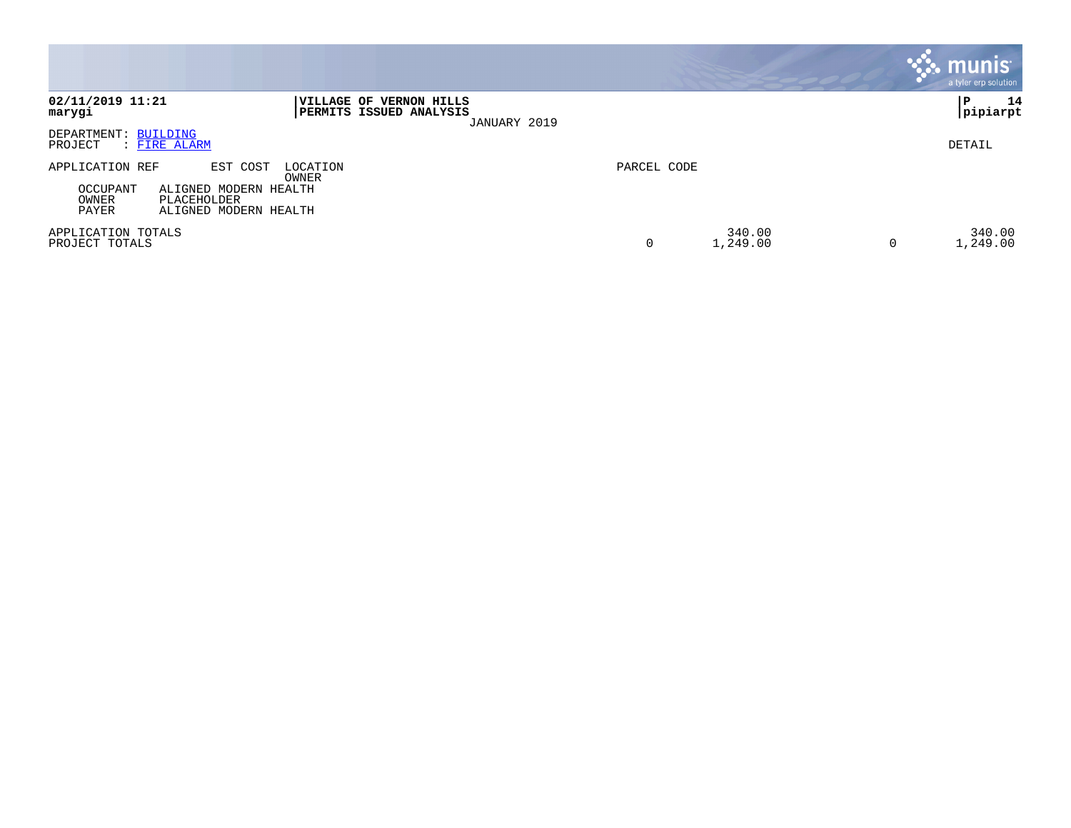|                                                                                                                                                 |                         | <b>munis</b><br>a tyler erp solution |
|-------------------------------------------------------------------------------------------------------------------------------------------------|-------------------------|--------------------------------------|
| 02/11/2019 11:21<br><b> VILLAGE OF VERNON HILLS</b><br>PERMITS ISSUED ANALYSIS<br>marygi<br>JANUARY 2019                                        |                         | 14<br>P<br> pipiarpt                 |
| DEPARTMENT: BUILDING<br>: FIRE ALARM<br>PROJECT                                                                                                 |                         | DETAIL                               |
| EST COST<br>LOCATION<br>APPLICATION REF<br>OWNER<br>OCCUPANT<br>ALIGNED MODERN HEALTH<br>OWNER<br>PLACEHOLDER<br>PAYER<br>ALIGNED MODERN HEALTH | PARCEL CODE             |                                      |
| APPLICATION TOTALS<br>PROJECT TOTALS                                                                                                            | 340.00<br>0<br>1,249.00 | 340.00<br>1,249.00<br>0              |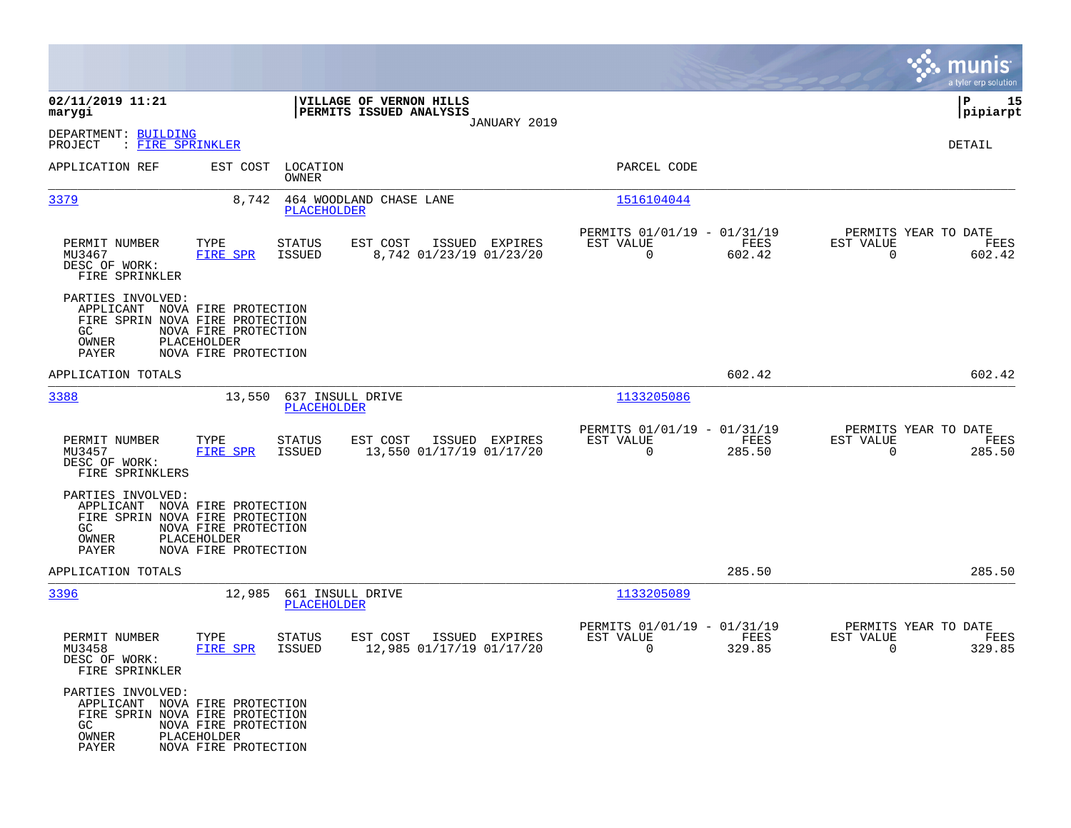|                                                                                                                 |                                                             |                                        |                                                           |                |                                                            |                       |                                               | munis<br>a tyler erp solution |
|-----------------------------------------------------------------------------------------------------------------|-------------------------------------------------------------|----------------------------------------|-----------------------------------------------------------|----------------|------------------------------------------------------------|-----------------------|-----------------------------------------------|-------------------------------|
| 02/11/2019 11:21<br>marygi                                                                                      |                                                             |                                        | VILLAGE OF VERNON HILLS<br><b>PERMITS ISSUED ANALYSIS</b> |                |                                                            |                       |                                               | 15<br>IΡ<br> pipiarpt         |
| DEPARTMENT: BUILDING<br>PROJECT<br>: FIRE SPRINKLER                                                             |                                                             |                                        |                                                           | JANUARY 2019   |                                                            |                       |                                               | DETAIL                        |
| APPLICATION REF                                                                                                 | EST COST                                                    | LOCATION<br><b>OWNER</b>               |                                                           |                | PARCEL CODE                                                |                       |                                               |                               |
| 3379                                                                                                            | 8,742                                                       | PLACEHOLDER                            | 464 WOODLAND CHASE LANE                                   |                | 1516104044                                                 |                       |                                               |                               |
| PERMIT NUMBER<br>MU3467<br>DESC OF WORK:<br>FIRE SPRINKLER                                                      | TYPE<br><b>FIRE SPR</b>                                     | STATUS<br><b>ISSUED</b>                | EST COST<br>8,742 01/23/19 01/23/20                       | ISSUED EXPIRES | PERMITS 01/01/19 - 01/31/19<br>EST VALUE<br>$\overline{0}$ | FEES<br>602.42        | PERMITS YEAR TO DATE<br>EST VALUE<br>$\Omega$ | FEES<br>602.42                |
| PARTIES INVOLVED:<br>APPLICANT NOVA FIRE PROTECTION<br>FIRE SPRIN NOVA FIRE PROTECTION<br>GC.<br>OWNER<br>PAYER | NOVA FIRE PROTECTION<br>PLACEHOLDER<br>NOVA FIRE PROTECTION |                                        |                                                           |                |                                                            |                       |                                               |                               |
| APPLICATION TOTALS                                                                                              |                                                             |                                        |                                                           |                |                                                            | 602.42                |                                               | 602.42                        |
| 3388                                                                                                            | 13,550                                                      | 637 INSULL DRIVE<br>PLACEHOLDER        |                                                           |                | 1133205086                                                 |                       |                                               |                               |
| PERMIT NUMBER<br>MU3457<br>DESC OF WORK:<br>FIRE SPRINKLERS                                                     | TYPE<br><b>FIRE SPR</b>                                     | <b>STATUS</b><br>ISSUED                | EST COST<br>13,550 01/17/19 01/17/20                      | ISSUED EXPIRES | PERMITS 01/01/19 - 01/31/19<br>EST VALUE<br>$\Omega$       | FEES<br>285.50        | PERMITS YEAR TO DATE<br>EST VALUE<br>$\Omega$ | FEES<br>285.50                |
| PARTIES INVOLVED:<br>APPLICANT NOVA FIRE PROTECTION<br>FIRE SPRIN NOVA FIRE PROTECTION<br>GC.<br>OWNER<br>PAYER | NOVA FIRE PROTECTION<br>PLACEHOLDER<br>NOVA FIRE PROTECTION |                                        |                                                           |                |                                                            |                       |                                               |                               |
| APPLICATION TOTALS                                                                                              |                                                             |                                        |                                                           |                |                                                            | 285.50                |                                               | 285.50                        |
| 3396                                                                                                            | 12,985                                                      | 661 INSULL DRIVE<br><b>PLACEHOLDER</b> |                                                           |                | 1133205089                                                 |                       |                                               |                               |
| PERMIT NUMBER<br>MU3458<br>DESC OF WORK:<br>FIRE SPRINKLER                                                      | TYPE<br>FIRE SPR                                            | STATUS<br>ISSUED                       | EST COST<br>12,985 01/17/19 01/17/20                      | ISSUED EXPIRES | PERMITS 01/01/19 - 01/31/19<br>EST VALUE<br>0              | <b>FEES</b><br>329.85 | PERMITS YEAR TO DATE<br>EST VALUE<br>0        | FEES<br>329.85                |
| PARTIES INVOLVED:<br>APPLICANT NOVA FIRE PROTECTION<br>FIRE SPRIN NOVA FIRE PROTECTION<br>GC<br>OWNER<br>PAYER  | NOVA FIRE PROTECTION<br>PLACEHOLDER<br>NOVA FIRE PROTECTION |                                        |                                                           |                |                                                            |                       |                                               |                               |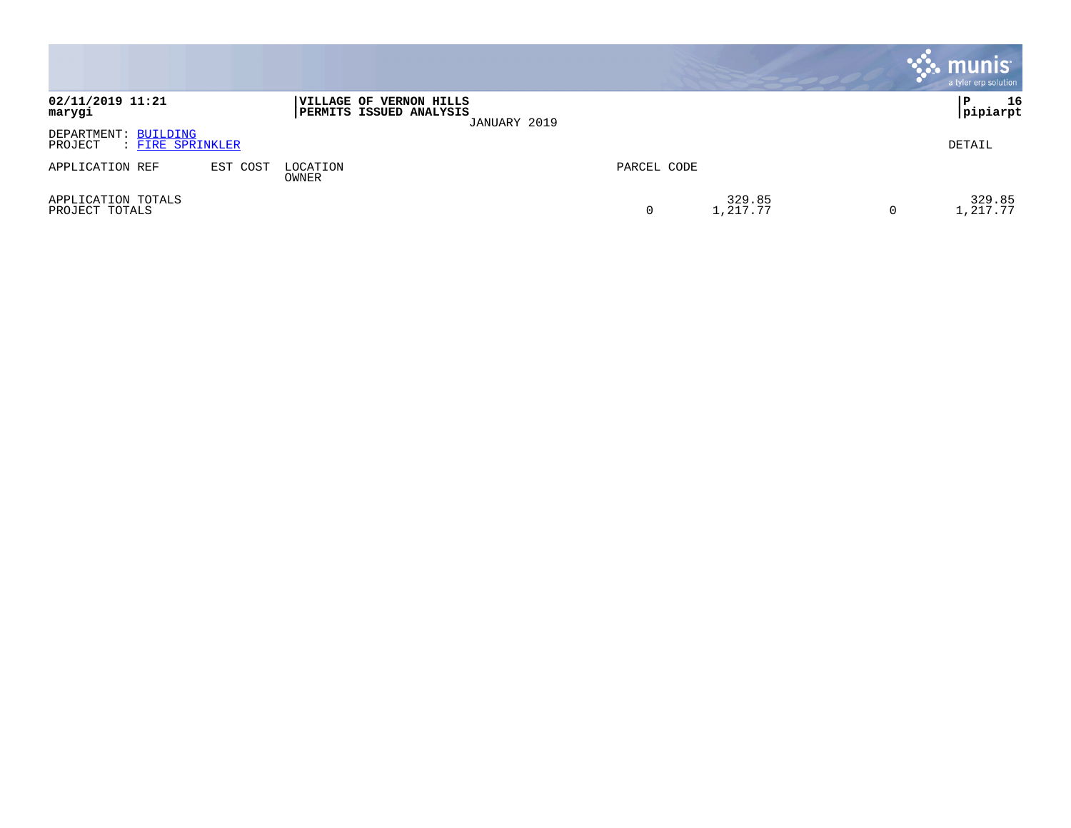|                                                     |          |                                                           |              |             |                    |   | $\cdot$ munis $\cdot$<br>a tyler erp solution |
|-----------------------------------------------------|----------|-----------------------------------------------------------|--------------|-------------|--------------------|---|-----------------------------------------------|
| 02/11/2019 11:21<br>marygi                          |          | VILLAGE OF VERNON HILLS<br><b>PERMITS ISSUED ANALYSIS</b> | JANUARY 2019 |             |                    |   | 16<br>P<br> pipiarpt                          |
| DEPARTMENT: BUILDING<br>PROJECT<br>: FIRE SPRINKLER |          |                                                           |              |             |                    |   | DETAIL                                        |
| APPLICATION REF                                     | EST COST | LOCATION<br>OWNER                                         |              | PARCEL CODE |                    |   |                                               |
| APPLICATION TOTALS<br>PROJECT TOTALS                |          |                                                           |              | 0           | 329.85<br>1,217.77 | 0 | 329.85<br>., 217.77                           |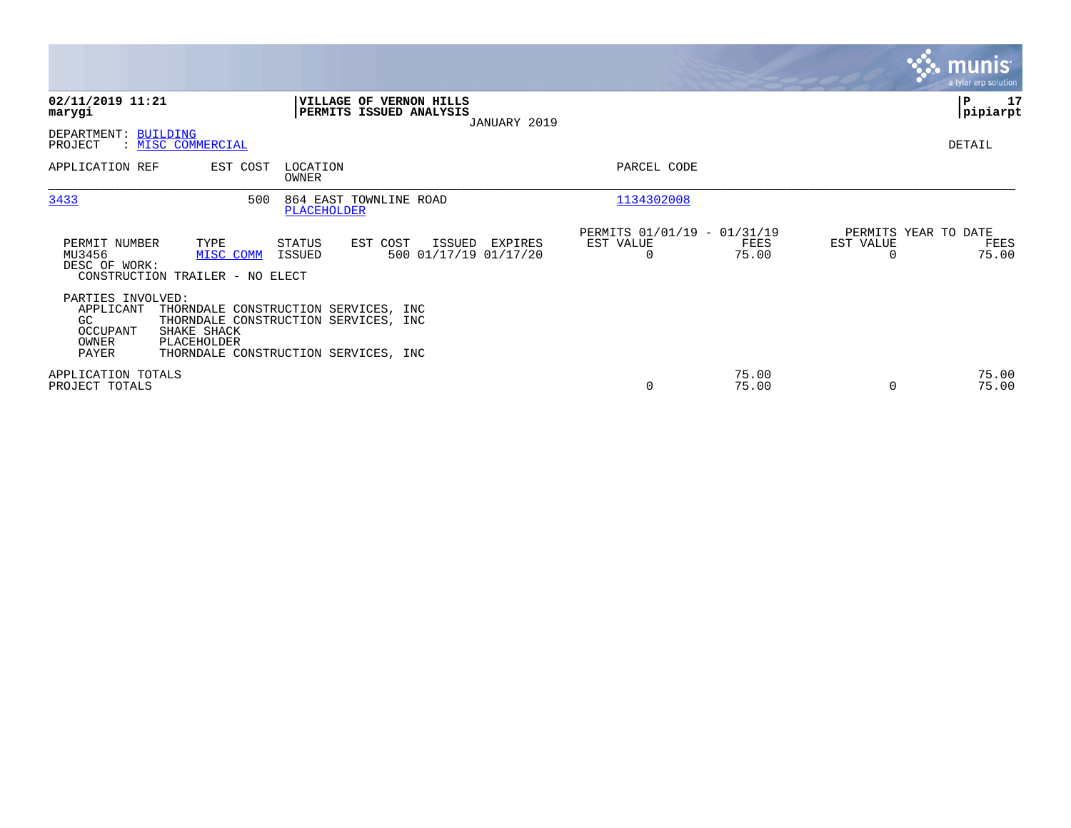|                                                                    |                                                                                                                                                    |                    |                                                    |              |                                                      |                |                                               | <b>munis</b><br>a tyler erp solution |
|--------------------------------------------------------------------|----------------------------------------------------------------------------------------------------------------------------------------------------|--------------------|----------------------------------------------------|--------------|------------------------------------------------------|----------------|-----------------------------------------------|--------------------------------------|
| 02/11/2019 11:21<br>marygi                                         |                                                                                                                                                    |                    | VILLAGE OF VERNON HILLS<br>PERMITS ISSUED ANALYSIS | JANUARY 2019 |                                                      |                |                                               | P<br>17<br> pipiarpt                 |
| DEPARTMENT: BUILDING<br>PROJECT                                    | : MISC COMMERCIAL                                                                                                                                  |                    |                                                    |              |                                                      |                |                                               | DETAIL                               |
| APPLICATION REF                                                    | EST COST                                                                                                                                           | LOCATION<br>OWNER  |                                                    |              | PARCEL CODE                                          |                |                                               |                                      |
| 3433                                                               | 500                                                                                                                                                | <b>PLACEHOLDER</b> | 864 EAST TOWNLINE ROAD                             |              | 1134302008                                           |                |                                               |                                      |
| PERMIT NUMBER<br>MU3456<br>DESC OF WORK:                           | TYPE<br>MISC COMM<br>CONSTRUCTION TRAILER - NO ELECT                                                                                               | STATUS<br>ISSUED   | EST COST<br>ISSUED<br>500 01/17/19 01/17/20        | EXPIRES      | PERMITS 01/01/19 - 01/31/19<br>EST VALUE<br>$\Omega$ | FEES<br>75.00  | PERMITS YEAR TO DATE<br>EST VALUE<br>$\Omega$ | FEES<br>75.00                        |
| PARTIES INVOLVED:<br>APPLICANT<br>GC<br>OCCUPANT<br>OWNER<br>PAYER | THORNDALE CONSTRUCTION SERVICES, INC<br>THORNDALE CONSTRUCTION SERVICES, INC<br>SHAKE SHACK<br>PLACEHOLDER<br>THORNDALE CONSTRUCTION SERVICES, INC |                    |                                                    |              |                                                      |                |                                               |                                      |
| APPLICATION TOTALS<br>PROJECT TOTALS                               |                                                                                                                                                    |                    |                                                    |              | 0                                                    | 75.00<br>75.00 | $\Omega$                                      | 75.00<br>75.00                       |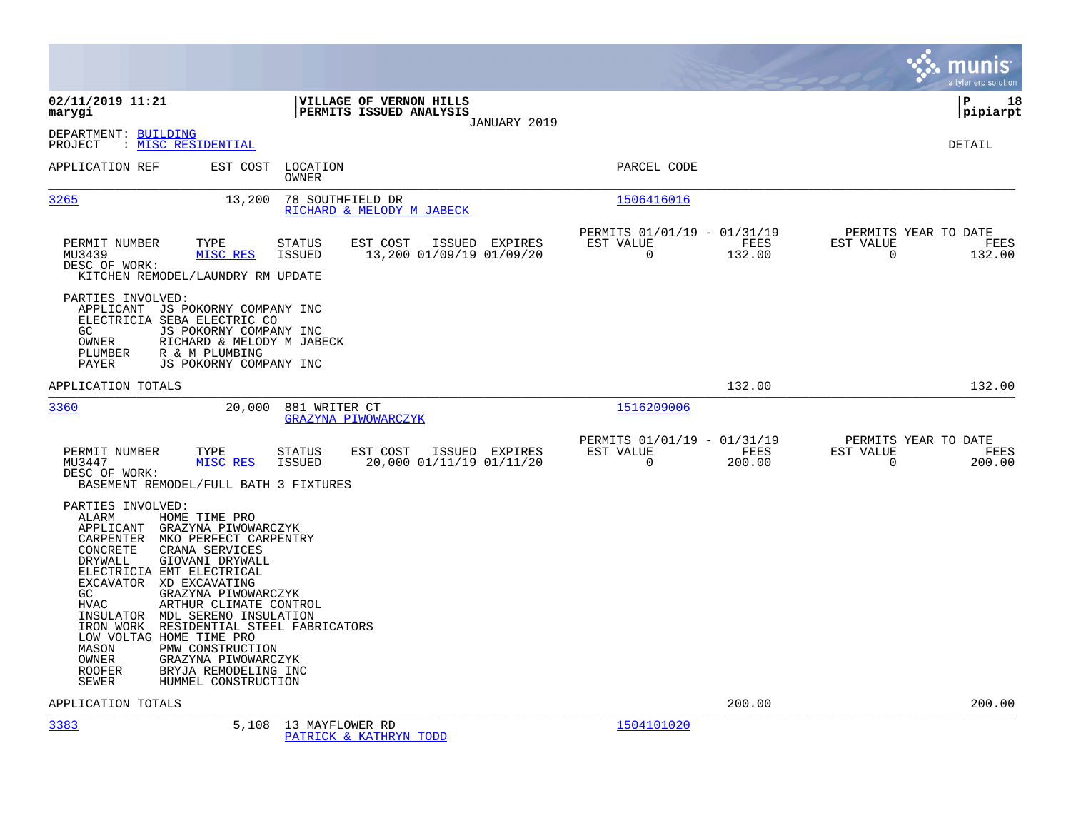|                                                                                                                                                                                                                                                             |                                                                                                                                                                                                                                                                                                         |                                |                                                           |                |                                                      |                |                                               | munis<br>a tyler erp solution |
|-------------------------------------------------------------------------------------------------------------------------------------------------------------------------------------------------------------------------------------------------------------|---------------------------------------------------------------------------------------------------------------------------------------------------------------------------------------------------------------------------------------------------------------------------------------------------------|--------------------------------|-----------------------------------------------------------|----------------|------------------------------------------------------|----------------|-----------------------------------------------|-------------------------------|
| 02/11/2019 11:21<br>marygi                                                                                                                                                                                                                                  |                                                                                                                                                                                                                                                                                                         |                                | <b>VILLAGE OF VERNON HILLS</b><br>PERMITS ISSUED ANALYSIS | JANUARY 2019   |                                                      |                |                                               | l P<br>18<br> pipiarpt        |
| DEPARTMENT: BUILDING<br>PROJECT                                                                                                                                                                                                                             | : MISC RESIDENTIAL                                                                                                                                                                                                                                                                                      |                                |                                                           |                |                                                      |                |                                               | <b>DETAIL</b>                 |
| APPLICATION REF                                                                                                                                                                                                                                             | EST COST                                                                                                                                                                                                                                                                                                | LOCATION<br>OWNER              |                                                           |                | PARCEL CODE                                          |                |                                               |                               |
| 3265                                                                                                                                                                                                                                                        | 13,200                                                                                                                                                                                                                                                                                                  | 78 SOUTHFIELD DR               | RICHARD & MELODY M JABECK                                 |                | 1506416016                                           |                |                                               |                               |
| PERMIT NUMBER<br>MU3439<br>DESC OF WORK:                                                                                                                                                                                                                    | TYPE<br>MISC RES<br>KITCHEN REMODEL/LAUNDRY RM UPDATE                                                                                                                                                                                                                                                   | <b>STATUS</b><br><b>ISSUED</b> | EST COST<br>13,200 01/09/19 01/09/20                      | ISSUED EXPIRES | PERMITS 01/01/19 - 01/31/19<br>EST VALUE<br>0        | FEES<br>132.00 | PERMITS YEAR TO DATE<br>EST VALUE<br>0        | FEES<br>132.00                |
| PARTIES INVOLVED:<br>GC.<br>OWNER<br>PLUMBER<br>PAYER                                                                                                                                                                                                       | APPLICANT JS POKORNY COMPANY INC<br>ELECTRICIA SEBA ELECTRIC CO<br>JS POKORNY COMPANY INC<br>RICHARD & MELODY M JABECK<br>R & M PLUMBING<br>JS POKORNY COMPANY INC                                                                                                                                      |                                |                                                           |                |                                                      |                |                                               |                               |
| APPLICATION TOTALS                                                                                                                                                                                                                                          |                                                                                                                                                                                                                                                                                                         |                                |                                                           |                |                                                      | 132.00         |                                               | 132.00                        |
| 3360                                                                                                                                                                                                                                                        | 20,000                                                                                                                                                                                                                                                                                                  | 881 WRITER CT                  | GRAZYNA PIWOWARCZYK                                       |                | 1516209006                                           |                |                                               |                               |
| PERMIT NUMBER<br>MU3447<br>DESC OF WORK:                                                                                                                                                                                                                    | TYPE<br>MISC RES<br>BASEMENT REMODEL/FULL BATH 3 FIXTURES                                                                                                                                                                                                                                               | <b>STATUS</b><br><b>ISSUED</b> | EST COST<br>20,000 01/11/19 01/11/20                      | ISSUED EXPIRES | PERMITS 01/01/19 - 01/31/19<br>EST VALUE<br>$\Omega$ | FEES<br>200.00 | PERMITS YEAR TO DATE<br>EST VALUE<br>$\Omega$ | FEES<br>200.00                |
| PARTIES INVOLVED:<br>ALARM<br>APPLICANT<br>CARPENTER<br>CONCRETE<br>DRYWALL<br>ELECTRICIA EMT ELECTRICAL<br>EXCAVATOR XD EXCAVATING<br>GC.<br><b>HVAC</b><br>INSULATOR<br>IRON WORK<br>LOW VOLTAG HOME TIME PRO<br>MASON<br>OWNER<br><b>ROOFER</b><br>SEWER | HOME TIME PRO<br>GRAZYNA PIWOWARCZYK<br>MKO PERFECT CARPENTRY<br>CRANA SERVICES<br>GIOVANI DRYWALL<br>GRAZYNA PIWOWARCZYK<br>ARTHUR CLIMATE CONTROL<br>MDL SERENO INSULATION<br>RESIDENTIAL STEEL FABRICATORS<br>PMW CONSTRUCTION<br>GRAZYNA PIWOWARCZYK<br>BRYJA REMODELING INC<br>HUMMEL CONSTRUCTION |                                |                                                           |                |                                                      |                |                                               |                               |
| APPLICATION TOTALS                                                                                                                                                                                                                                          |                                                                                                                                                                                                                                                                                                         |                                |                                                           |                |                                                      | 200.00         |                                               | 200.00                        |
| 3383                                                                                                                                                                                                                                                        |                                                                                                                                                                                                                                                                                                         | 5,108 13 MAYFLOWER RD          | PATRICK & KATHRYN TODD                                    |                | 1504101020                                           |                |                                               |                               |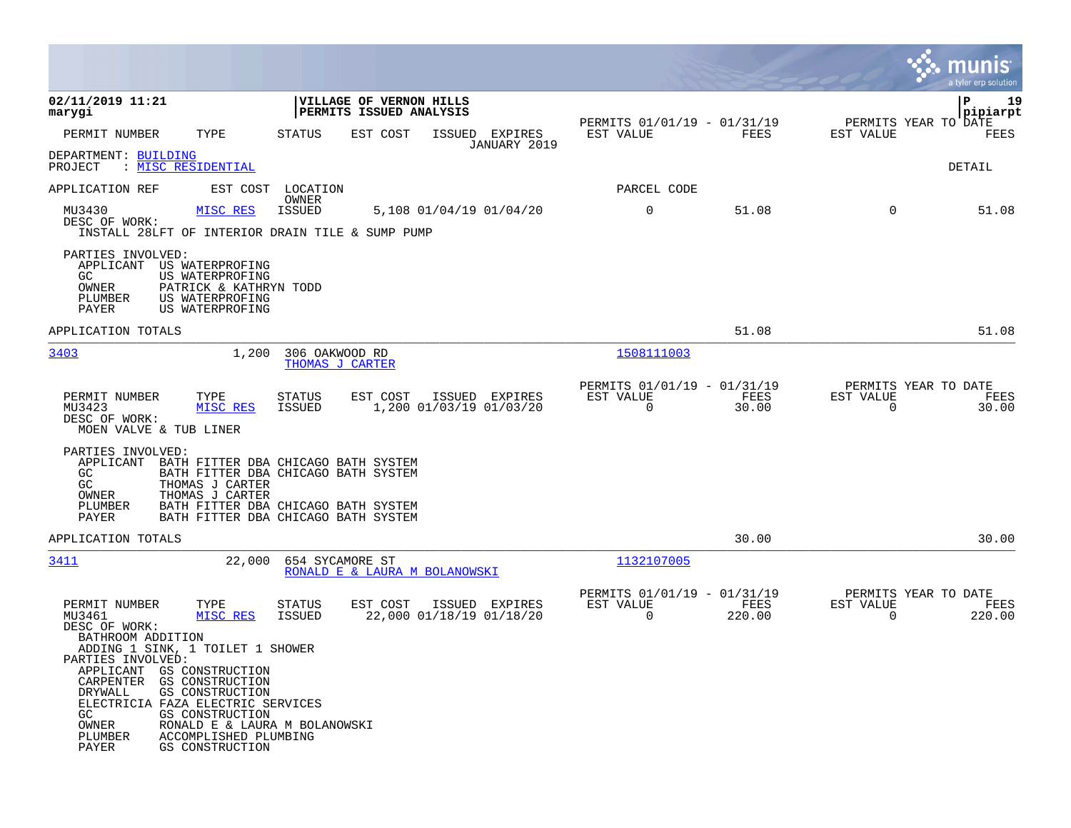|                                                                                                                                                                                                                                                                                                                                                                                                                          |                                                                                                                                                          |                                                                       | munis<br>a tyler erp solution                            |
|--------------------------------------------------------------------------------------------------------------------------------------------------------------------------------------------------------------------------------------------------------------------------------------------------------------------------------------------------------------------------------------------------------------------------|----------------------------------------------------------------------------------------------------------------------------------------------------------|-----------------------------------------------------------------------|----------------------------------------------------------|
| 02/11/2019 11:21<br>marygi                                                                                                                                                                                                                                                                                                                                                                                               | VILLAGE OF VERNON HILLS<br>PERMITS ISSUED ANALYSIS                                                                                                       |                                                                       | P<br>19<br>pipiarpt                                      |
| PERMIT NUMBER<br>TYPE                                                                                                                                                                                                                                                                                                                                                                                                    | <b>STATUS</b><br>EST COST<br>ISSUED EXPIRES<br>JANUARY 2019                                                                                              | PERMITS 01/01/19 - 01/31/19<br>EST VALUE<br>FEES                      | PERMITS YEAR TO DATE<br>EST VALUE<br>FEES                |
| DEPARTMENT: BUILDING<br>PROJECT<br>: MISC RESIDENTIAL                                                                                                                                                                                                                                                                                                                                                                    |                                                                                                                                                          |                                                                       | DETAIL                                                   |
| APPLICATION REF<br>EST COST                                                                                                                                                                                                                                                                                                                                                                                              | LOCATION<br>OWNER                                                                                                                                        | PARCEL CODE                                                           |                                                          |
| MU3430<br>MISC RES<br>DESC OF WORK:<br>INSTALL 28LFT OF INTERIOR DRAIN TILE & SUMP PUMP                                                                                                                                                                                                                                                                                                                                  | <b>ISSUED</b><br>5,108 01/04/19 01/04/20                                                                                                                 | $\mathbf 0$<br>51.08                                                  | $\mathbf 0$<br>51.08                                     |
| PARTIES INVOLVED:<br>APPLICANT US WATERPROFING<br>GC.<br>US WATERPROFING<br>OWNER<br>PATRICK & KATHRYN TODD<br>PLUMBER<br>US WATERPROFING<br>PAYER<br>US WATERPROFING                                                                                                                                                                                                                                                    |                                                                                                                                                          |                                                                       |                                                          |
| APPLICATION TOTALS                                                                                                                                                                                                                                                                                                                                                                                                       |                                                                                                                                                          | 51.08                                                                 | 51.08                                                    |
| 3403<br>1,200                                                                                                                                                                                                                                                                                                                                                                                                            | 306 OAKWOOD RD<br>THOMAS J CARTER                                                                                                                        | 1508111003                                                            |                                                          |
| PERMIT NUMBER<br>TYPE<br>MU3423<br>MISC RES<br>DESC OF WORK:<br>MOEN VALVE & TUB LINER                                                                                                                                                                                                                                                                                                                                   | EST COST<br>ISSUED EXPIRES<br>STATUS<br>ISSUED<br>1,200 01/03/19 01/03/20                                                                                | PERMITS 01/01/19 - 01/31/19<br>EST VALUE<br>FEES<br>$\Omega$<br>30.00 | PERMITS YEAR TO DATE<br>EST VALUE<br>FEES<br>30.00<br>0  |
| PARTIES INVOLVED:<br>APPLICANT<br>GC.<br>GC<br>THOMAS J CARTER<br>OWNER<br>THOMAS J CARTER<br>PLUMBER<br>PAYER                                                                                                                                                                                                                                                                                                           | BATH FITTER DBA CHICAGO BATH SYSTEM<br>BATH FITTER DBA CHICAGO BATH SYSTEM<br>BATH FITTER DBA CHICAGO BATH SYSTEM<br>BATH FITTER DBA CHICAGO BATH SYSTEM |                                                                       |                                                          |
| APPLICATION TOTALS                                                                                                                                                                                                                                                                                                                                                                                                       |                                                                                                                                                          | 30.00                                                                 | 30.00                                                    |
| 3411<br>22,000                                                                                                                                                                                                                                                                                                                                                                                                           | 654 SYCAMORE ST<br>RONALD E & LAURA M BOLANOWSKI                                                                                                         | 1132107005                                                            |                                                          |
| PERMIT NUMBER<br>TYPE<br>MU3461<br>MISC RES<br>DESC OF WORK:<br>BATHROOM ADDITION<br>ADDING 1 SINK, 1 TOILET 1 SHOWER<br>PARTIES INVOLVED:<br>APPLICANT<br>GS CONSTRUCTION<br>CARPENTER<br>GS CONSTRUCTION<br>GS CONSTRUCTION<br><b>DRYWALL</b><br>ELECTRICIA FAZA ELECTRIC SERVICES<br>GC.<br>GS CONSTRUCTION<br>OWNER<br>RONALD E & LAURA M BOLANOWSKI<br>PLUMBER<br>ACCOMPLISHED PLUMBING<br>PAYER<br>GS CONSTRUCTION | <b>STATUS</b><br>EST COST<br>ISSUED EXPIRES<br>ISSUED<br>22,000 01/18/19 01/18/20                                                                        | PERMITS 01/01/19 - 01/31/19<br>EST VALUE<br>FEES<br>0<br>220.00       | PERMITS YEAR TO DATE<br>EST VALUE<br>FEES<br>220.00<br>0 |

 $\sim$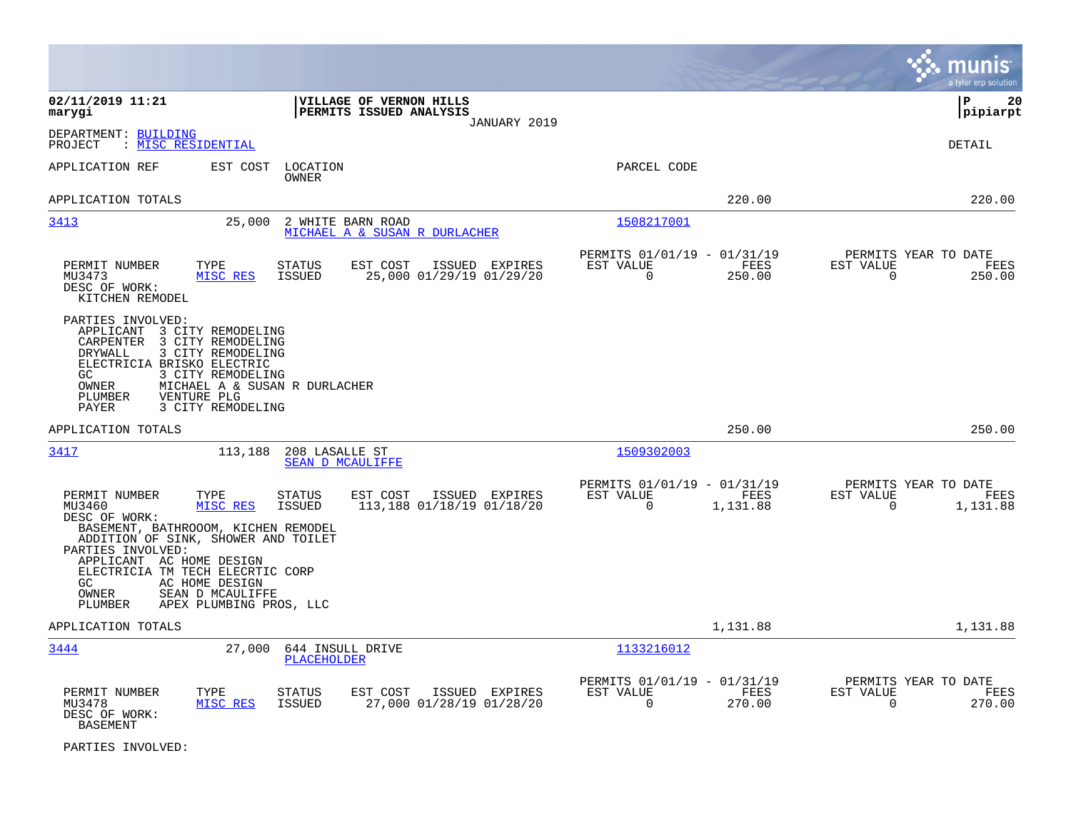|                                                                                                                                                                                                                                                                                       |                                                                                           |                                                                           | munis<br>a tyler erp solution                                        |
|---------------------------------------------------------------------------------------------------------------------------------------------------------------------------------------------------------------------------------------------------------------------------------------|-------------------------------------------------------------------------------------------|---------------------------------------------------------------------------|----------------------------------------------------------------------|
| 02/11/2019 11:21<br>marygi                                                                                                                                                                                                                                                            | VILLAGE OF VERNON HILLS<br>PERMITS ISSUED ANALYSIS<br>JANUARY 2019                        |                                                                           | l P<br>20<br> pipiarpt                                               |
| DEPARTMENT: BUILDING<br>: MISC RESIDENTIAL<br>PROJECT                                                                                                                                                                                                                                 |                                                                                           |                                                                           | <b>DETAIL</b>                                                        |
| APPLICATION REF<br>EST COST                                                                                                                                                                                                                                                           | LOCATION<br>OWNER                                                                         | PARCEL CODE                                                               |                                                                      |
| APPLICATION TOTALS                                                                                                                                                                                                                                                                    |                                                                                           | 220.00                                                                    | 220.00                                                               |
| 3413<br>25,000                                                                                                                                                                                                                                                                        | 2 WHITE BARN ROAD<br>MICHAEL A & SUSAN R DURLACHER                                        | 1508217001                                                                |                                                                      |
| PERMIT NUMBER<br>TYPE<br>MU3473<br>MISC RES<br>DESC OF WORK:<br>KITCHEN REMODEL                                                                                                                                                                                                       | <b>STATUS</b><br>EST COST<br>ISSUED EXPIRES<br>25,000 01/29/19 01/29/20<br>ISSUED         | PERMITS 01/01/19 - 01/31/19<br>EST VALUE<br>FEES<br>$\Omega$<br>250.00    | PERMITS YEAR TO DATE<br>EST VALUE<br>FEES<br>$\mathbf 0$<br>250.00   |
| PARTIES INVOLVED:<br>APPLICANT 3 CITY REMODELING<br>3 CITY REMODELING<br>CARPENTER<br>DRYWALL<br>3 CITY REMODELING<br>ELECTRICIA BRISKO ELECTRIC<br>3 CITY REMODELING<br>GC.<br>MICHAEL A & SUSAN R DURLACHER<br>OWNER<br><b>PLUMBER</b><br>VENTURE PLG<br>3 CITY REMODELING<br>PAYER |                                                                                           |                                                                           |                                                                      |
| APPLICATION TOTALS                                                                                                                                                                                                                                                                    |                                                                                           | 250.00                                                                    | 250.00                                                               |
| 3417<br>113,188                                                                                                                                                                                                                                                                       | 208 LASALLE ST<br><b>SEAN D MCAULIFFE</b>                                                 | 1509302003                                                                |                                                                      |
| PERMIT NUMBER<br>TYPE<br>MU3460<br>MISC RES<br>DESC OF WORK:<br>BASEMENT, BATHROOOM, KICHEN REMODEL<br>ADDITION OF SINK, SHOWER AND TOILET<br>PARTIES INVOLVED:<br>APPLICANT AC HOME DESIGN<br>ELECTRICIA TM TECH ELECRTIC CORP<br>GC.<br>AC HOME DESIGN                              | <b>STATUS</b><br>EST COST<br>ISSUED EXPIRES<br><b>ISSUED</b><br>113,188 01/18/19 01/18/20 | PERMITS 01/01/19 - 01/31/19<br>EST VALUE<br>FEES<br>0<br>1,131.88         | PERMITS YEAR TO DATE<br>EST VALUE<br>FEES<br>$\mathbf 0$<br>1,131.88 |
| OWNER<br>SEAN D MCAULIFFE<br>APEX PLUMBING PROS, LLC<br>PLUMBER                                                                                                                                                                                                                       |                                                                                           |                                                                           |                                                                      |
| APPLICATION TOTALS                                                                                                                                                                                                                                                                    |                                                                                           | 1,131.88                                                                  | 1,131.88                                                             |
| 3444<br>27,000                                                                                                                                                                                                                                                                        | 644 INSULL DRIVE<br><b>PLACEHOLDER</b>                                                    | 1133216012                                                                |                                                                      |
| PERMIT NUMBER<br>TYPE<br>MISC RES<br>MU3478<br>DESC OF WORK:<br><b>BASEMENT</b>                                                                                                                                                                                                       | EST COST<br>ISSUED EXPIRES<br>STATUS<br>27,000 01/28/19 01/28/20<br>ISSUED                | PERMITS 01/01/19 - 01/31/19<br>EST VALUE<br>FEES<br>$\mathbf 0$<br>270.00 | PERMITS YEAR TO DATE<br>EST VALUE<br>FEES<br>0<br>270.00             |

PARTIES INVOLVED: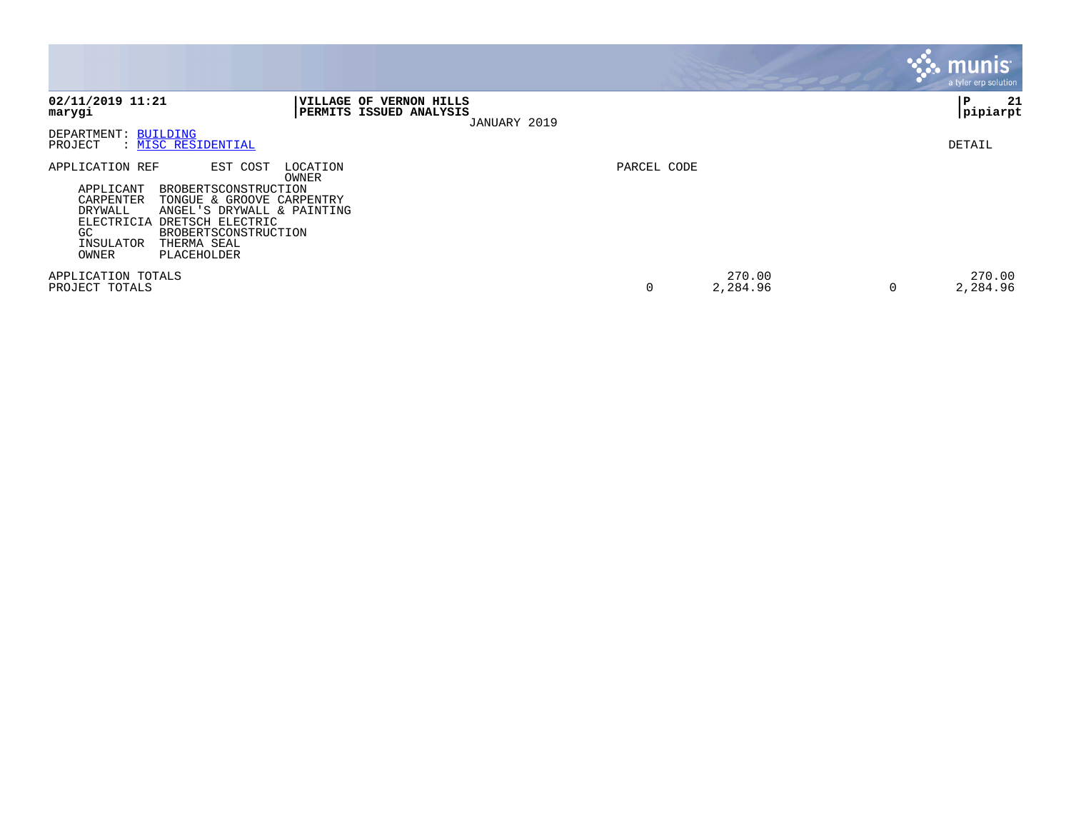|                                                                                                                                                                                                                                                                                                     |                                                                           | <b>munis</b><br>a tyler erp solution |
|-----------------------------------------------------------------------------------------------------------------------------------------------------------------------------------------------------------------------------------------------------------------------------------------------------|---------------------------------------------------------------------------|--------------------------------------|
| 02/11/2019 11:21<br>marygi                                                                                                                                                                                                                                                                          | VILLAGE OF VERNON HILLS<br><b>PERMITS ISSUED ANALYSIS</b><br>JANUARY 2019 | 21<br>ΙP<br> pipiarpt                |
| DEPARTMENT: BUILDING<br>PROJECT<br>: MISC RESIDENTIAL                                                                                                                                                                                                                                               |                                                                           | DETAIL                               |
| APPLICATION REF<br>EST COST<br>LOCATION<br>OWNER<br>APPLICANT<br>BROBERTSCONSTRUCTION<br>CARPENTER<br>TONGUE & GROOVE CARPENTRY<br>DRYWALL<br>ANGEL'S DRYWALL & PAINTING<br>ELECTRICIA<br>DRETSCH ELECTRIC<br>GC<br><b>BROBERTSCONSTRUCTION</b><br>INSULATOR<br>THERMA SEAL<br>OWNER<br>PLACEHOLDER | PARCEL CODE                                                               |                                      |
| APPLICATION TOTALS<br>PROJECT TOTALS                                                                                                                                                                                                                                                                | 0<br>2,284.96                                                             | 270.00<br>270.00<br>2,284.96<br>0    |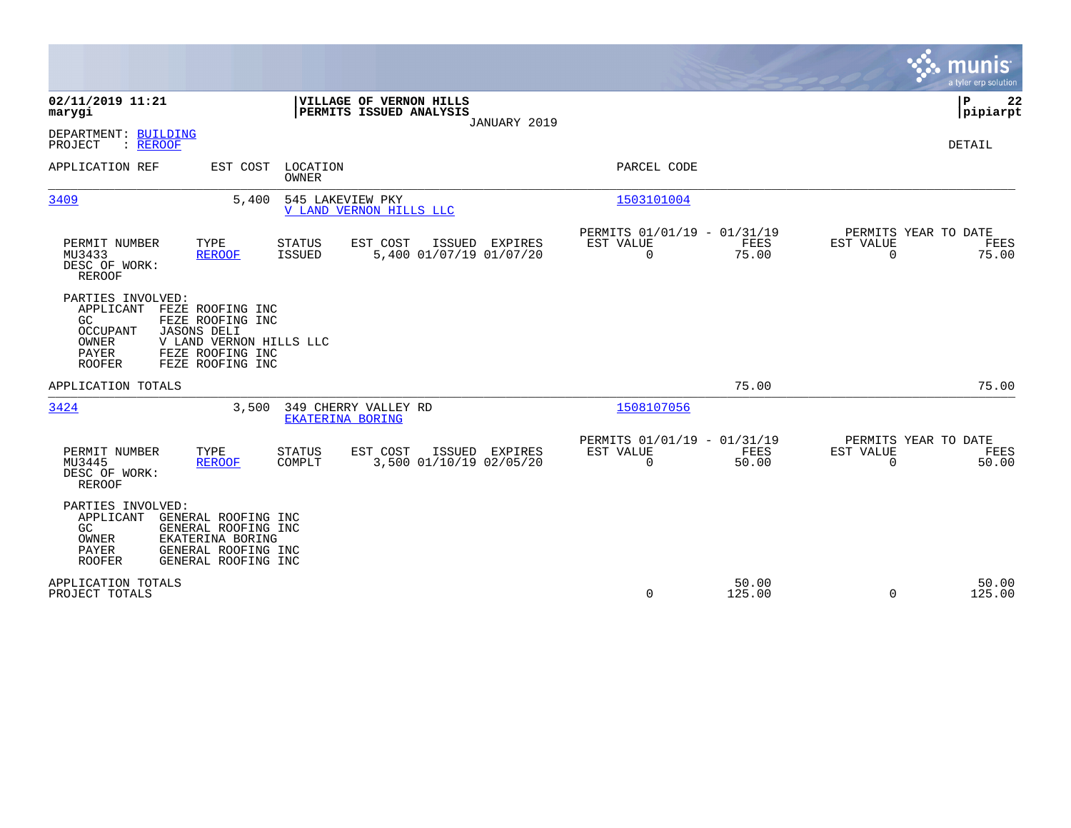|                                                                                                                                                                                                                                    |                                                                                                      | munis<br>a tyler erp solution         |
|------------------------------------------------------------------------------------------------------------------------------------------------------------------------------------------------------------------------------------|------------------------------------------------------------------------------------------------------|---------------------------------------|
| 02/11/2019 11:21<br>VILLAGE OF VERNON HILLS<br>PERMITS ISSUED ANALYSIS<br>marygi<br>JANUARY 2019                                                                                                                                   |                                                                                                      | P<br>22<br> pipiarpt                  |
| DEPARTMENT: BUILDING<br>: REROOF<br>PROJECT                                                                                                                                                                                        |                                                                                                      | <b>DETAIL</b>                         |
| APPLICATION REF<br>EST COST LOCATION<br><b>OWNER</b>                                                                                                                                                                               | PARCEL CODE                                                                                          |                                       |
| 3409<br>5,400<br>545 LAKEVIEW PKY<br>V LAND VERNON HILLS LLC                                                                                                                                                                       | 1503101004                                                                                           |                                       |
| PERMIT NUMBER<br>TYPE<br>EST COST<br>ISSUED EXPIRES<br><b>STATUS</b><br>MU3433<br><b>ISSUED</b><br>5,400 01/07/19 01/07/20<br><b>REROOF</b><br>DESC OF WORK:<br><b>REROOF</b>                                                      | PERMITS 01/01/19 - 01/31/19<br>EST VALUE<br>FEES<br>EST VALUE<br>$\mathbf 0$<br>$\mathbf 0$<br>75.00 | PERMITS YEAR TO DATE<br>FEES<br>75.00 |
| PARTIES INVOLVED:<br>FEZE ROOFING INC<br>APPLICANT<br>GC<br>FEZE ROOFING INC<br><b>OCCUPANT</b><br><b>JASONS DELI</b><br>V LAND VERNON HILLS LLC<br>OWNER<br><b>PAYER</b><br>FEZE ROOFING INC<br>FEZE ROOFING INC<br><b>ROOFER</b> |                                                                                                      |                                       |
| APPLICATION TOTALS                                                                                                                                                                                                                 | 75.00                                                                                                | 75.00                                 |
| 3424<br>3,500<br>349 CHERRY VALLEY RD<br><b>EKATERINA BORING</b>                                                                                                                                                                   | 1508107056                                                                                           |                                       |
| PERMIT NUMBER<br>TYPE<br><b>STATUS</b><br>EST COST<br>ISSUED EXPIRES<br>COMPLT<br>3,500 01/10/19 02/05/20<br>MU3445<br><b>REROOF</b><br>DESC OF WORK:<br><b>REROOF</b>                                                             | PERMITS 01/01/19 - 01/31/19<br>EST VALUE<br>EST VALUE<br>FEES<br>$\mathbf 0$<br>50.00<br>$\mathbf 0$ | PERMITS YEAR TO DATE<br>FEES<br>50.00 |
| PARTIES INVOLVED:<br>GENERAL ROOFING INC<br>APPLICANT<br>GC<br>GENERAL ROOFING INC<br>EKATERINA BORING<br>OWNER<br>PAYER<br>GENERAL ROOFING INC<br><b>ROOFER</b><br>GENERAL ROOFING INC                                            |                                                                                                      |                                       |
| APPLICATION TOTALS<br>PROJECT TOTALS                                                                                                                                                                                               | 50.00<br>$\mathbf 0$<br>125.00<br>$\Omega$                                                           | 50.00<br>125.00                       |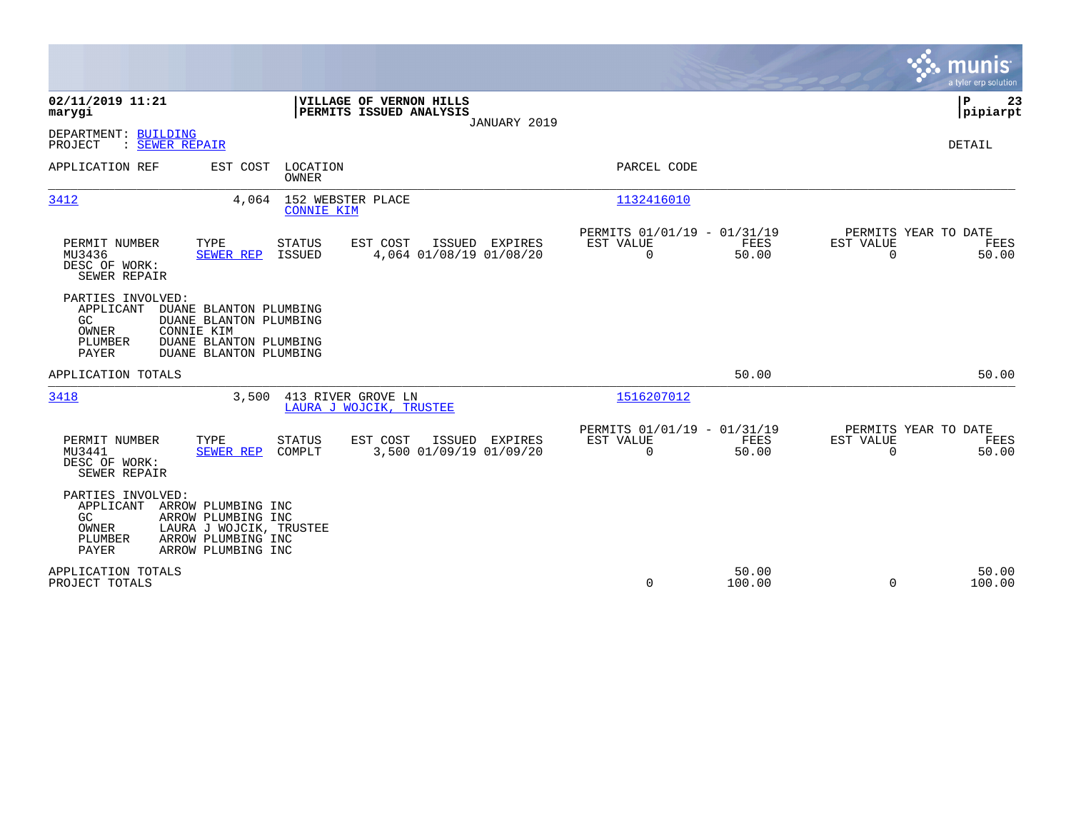|                                                                                                                                                                                             | munis<br>a tyler erp solution                                                                                                                 |
|---------------------------------------------------------------------------------------------------------------------------------------------------------------------------------------------|-----------------------------------------------------------------------------------------------------------------------------------------------|
| 02/11/2019 11:21<br>VILLAGE OF VERNON HILLS<br>PERMITS ISSUED ANALYSIS<br>marygi                                                                                                            | P<br>23<br> pipiarpt<br>JANUARY 2019                                                                                                          |
| DEPARTMENT: BUILDING<br>PROJECT<br>: SEWER REPAIR                                                                                                                                           | <b>DETAIL</b>                                                                                                                                 |
| APPLICATION REF<br>EST COST<br>LOCATION<br>OWNER                                                                                                                                            | PARCEL CODE                                                                                                                                   |
| 3412<br>152 WEBSTER PLACE<br>4,064<br><b>CONNIE KIM</b>                                                                                                                                     | 1132416010                                                                                                                                    |
| EST COST<br>ISSUED EXPIRES<br>PERMIT NUMBER<br>TYPE<br><b>STATUS</b><br>ISSUED<br>4,064 01/08/19 01/08/20<br>MU3436<br>SEWER REP<br>DESC OF WORK:<br>SEWER REPAIR                           | PERMITS 01/01/19 - 01/31/19<br>PERMITS YEAR TO DATE<br>EST VALUE<br>FEES<br>EST VALUE<br>FEES<br>$\mathbf 0$<br>50.00<br>$\mathbf 0$<br>50.00 |
| PARTIES INVOLVED:<br>APPLICANT<br>DUANE BLANTON PLUMBING<br>GC<br>DUANE BLANTON PLUMBING<br>OWNER<br>CONNIE KIM<br>DUANE BLANTON PLUMBING<br>PLUMBER<br>PAYER<br>DUANE BLANTON PLUMBING     |                                                                                                                                               |
| APPLICATION TOTALS                                                                                                                                                                          | 50.00<br>50.00                                                                                                                                |
| 3418<br>3,500<br>413 RIVER GROVE LN<br>LAURA J WOJCIK, TRUSTEE                                                                                                                              | 1516207012                                                                                                                                    |
| PERMIT NUMBER<br>TYPE<br><b>STATUS</b><br>EST COST<br>ISSUED EXPIRES<br>3,500 01/09/19 01/09/20<br>MU3441<br>COMPLT<br>SEWER REP<br>DESC OF WORK:<br>SEWER REPAIR                           | PERMITS 01/01/19 - 01/31/19<br>PERMITS YEAR TO DATE<br>EST VALUE<br>FEES<br>EST VALUE<br>FEES<br>$\Omega$<br>$\Omega$<br>50.00<br>50.00       |
| PARTIES INVOLVED:<br>APPLICANT<br>ARROW PLUMBING INC<br>GC<br>ARROW PLUMBING INC<br>OWNER<br>LAURA J WOJCIK, TRUSTEE<br>ARROW PLUMBING INC<br>PLUMBER<br><b>PAYER</b><br>ARROW PLUMBING INC |                                                                                                                                               |
| APPLICATION TOTALS<br>PROJECT TOTALS                                                                                                                                                        | 50.00<br>50.00<br>0<br>100.00<br>$\Omega$<br>100.00                                                                                           |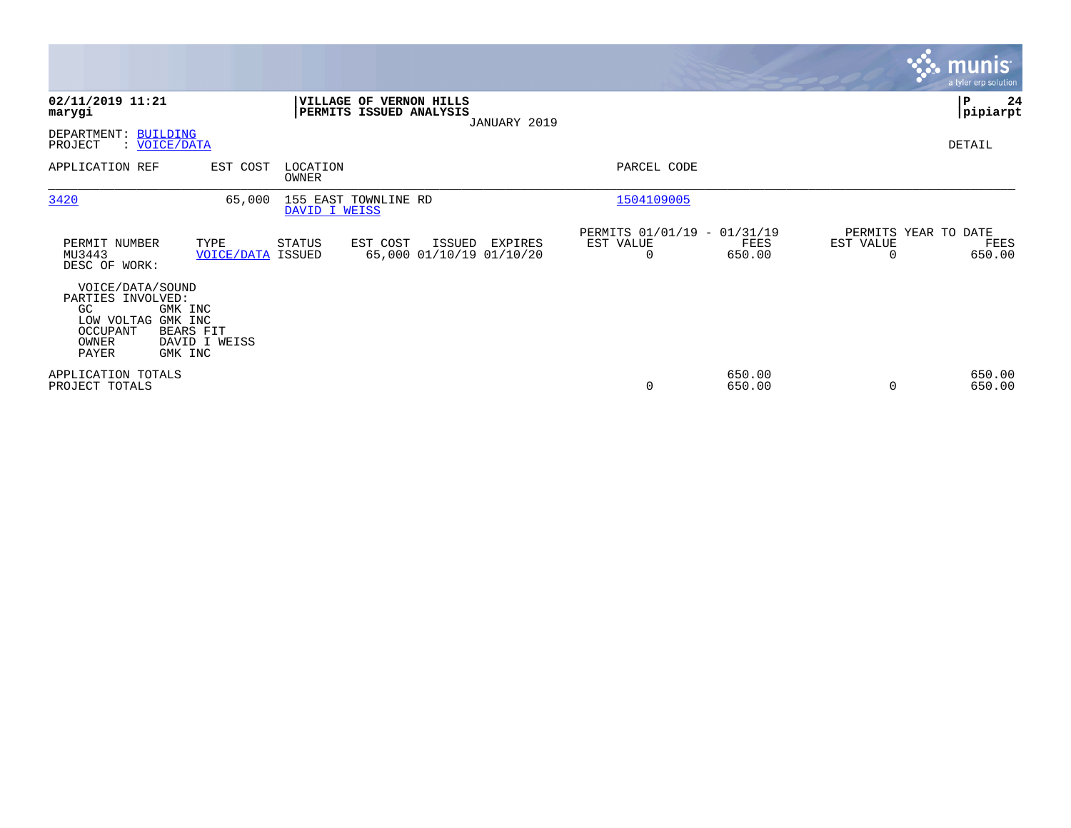|                                                                                                 |                                                  |                   |                                                    |        |                                     |                                                         |                  |                                   | <b>munis</b><br>a tyler erp solution |
|-------------------------------------------------------------------------------------------------|--------------------------------------------------|-------------------|----------------------------------------------------|--------|-------------------------------------|---------------------------------------------------------|------------------|-----------------------------------|--------------------------------------|
| 02/11/2019 11:21<br>marygi                                                                      |                                                  |                   | VILLAGE OF VERNON HILLS<br>PERMITS ISSUED ANALYSIS |        | JANUARY 2019                        |                                                         |                  |                                   | P<br>24<br> pipiarpt                 |
| DEPARTMENT: BUILDING<br>PROJECT<br>: VOICE/DATA                                                 |                                                  |                   |                                                    |        |                                     |                                                         |                  |                                   | DETAIL                               |
| APPLICATION REF                                                                                 | EST COST                                         | LOCATION<br>OWNER |                                                    |        |                                     | PARCEL CODE                                             |                  |                                   |                                      |
| 3420                                                                                            | 65,000                                           | DAVID I WEISS     | 155 EAST TOWNLINE RD                               |        |                                     | 1504109005                                              |                  |                                   |                                      |
| PERMIT NUMBER<br>MU3443<br>DESC OF WORK:                                                        | TYPE<br><b>VOICE/DATA ISSUED</b>                 | STATUS            | EST COST                                           | ISSUED | EXPIRES<br>65,000 01/10/19 01/10/20 | PERMITS 01/01/19 - 01/31/19<br>EST VALUE<br>$\mathbf 0$ | FEES<br>650.00   | PERMITS YEAR TO DATE<br>EST VALUE | FEES<br>650.00                       |
| VOICE/DATA/SOUND<br>PARTIES INVOLVED:<br>GC<br>LOW VOLTAG GMK INC<br>OCCUPANT<br>OWNER<br>PAYER | GMK INC<br>BEARS FIT<br>DAVID I WEISS<br>GMK INC |                   |                                                    |        |                                     |                                                         |                  |                                   |                                      |
| APPLICATION TOTALS<br>PROJECT TOTALS                                                            |                                                  |                   |                                                    |        |                                     | 0                                                       | 650.00<br>650.00 |                                   | 650.00<br>650.00                     |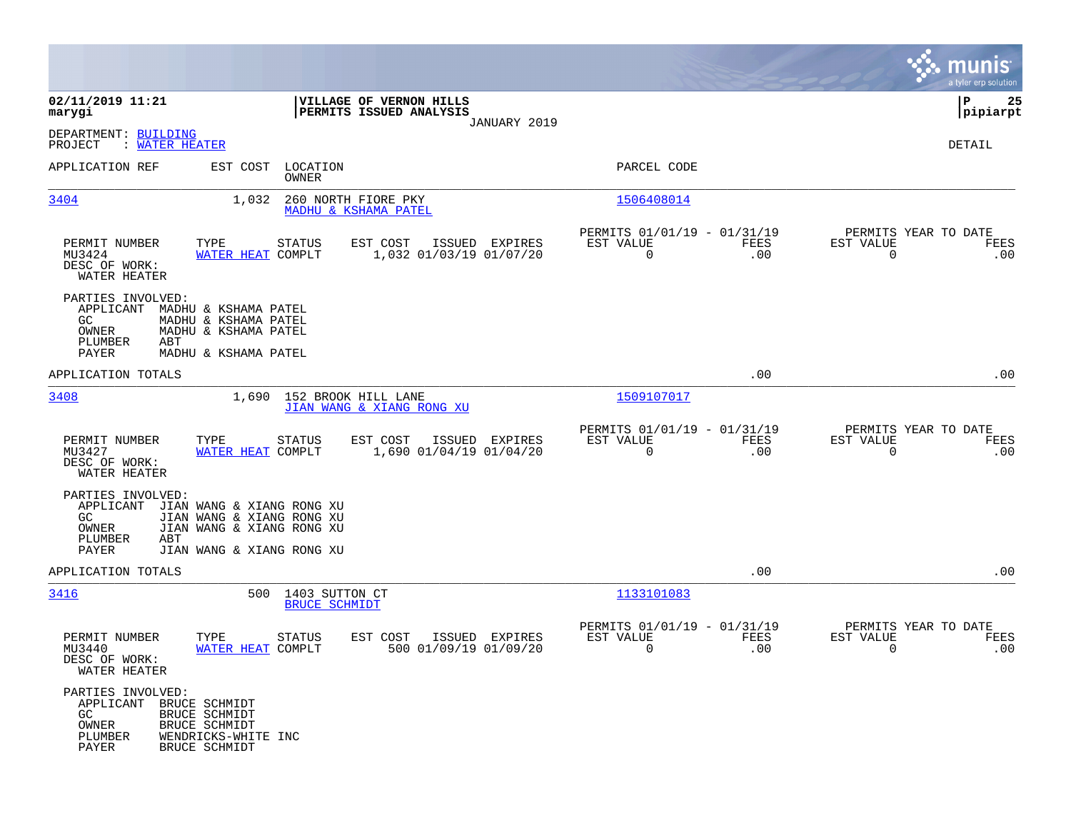|                                                                                  |                                                                                                                  |                                                                    |                                                            |                    | munis<br>a tyler erp solution                    |                 |
|----------------------------------------------------------------------------------|------------------------------------------------------------------------------------------------------------------|--------------------------------------------------------------------|------------------------------------------------------------|--------------------|--------------------------------------------------|-----------------|
| 02/11/2019 11:21<br>marygi                                                       |                                                                                                                  | VILLAGE OF VERNON HILLS<br>PERMITS ISSUED ANALYSIS<br>JANUARY 2019 |                                                            |                    | IΡ                                               | 25<br> pipiarpt |
| DEPARTMENT: BUILDING<br>: WATER HEATER<br>PROJECT                                |                                                                                                                  |                                                                    |                                                            |                    | DETAIL                                           |                 |
| APPLICATION REF                                                                  | EST COST LOCATION<br>OWNER                                                                                       |                                                                    | PARCEL CODE                                                |                    |                                                  |                 |
| 3404                                                                             | 1,032                                                                                                            | 260 NORTH FIORE PKY<br>MADHU & KSHAMA PATEL                        | 1506408014                                                 |                    |                                                  |                 |
| PERMIT NUMBER<br>MU3424<br>DESC OF WORK:<br>WATER HEATER                         | TYPE<br><b>STATUS</b><br>WATER HEAT COMPLT                                                                       | ISSUED EXPIRES<br>EST COST<br>1,032 01/03/19 01/07/20              | PERMITS 01/01/19 - 01/31/19<br>EST VALUE<br>$\overline{0}$ | FEES<br>.00        | PERMITS YEAR TO DATE<br>EST VALUE<br>$\mathbf 0$ | FEES<br>.00     |
| PARTIES INVOLVED:<br>APPLICANT<br>GC.<br>OWNER<br>PLUMBER<br>ABT<br>PAYER        | MADHU & KSHAMA PATEL<br>MADHU & KSHAMA PATEL<br>MADHU & KSHAMA PATEL<br>MADHU & KSHAMA PATEL                     |                                                                    |                                                            |                    |                                                  |                 |
| APPLICATION TOTALS                                                               |                                                                                                                  |                                                                    |                                                            | .00                |                                                  | .00             |
| 3408                                                                             | 1,690 152 BROOK HILL LANE                                                                                        | JIAN WANG & XIANG RONG XU                                          | 1509107017                                                 |                    |                                                  |                 |
| PERMIT NUMBER<br>MU3427<br>DESC OF WORK:<br>WATER HEATER                         | STATUS<br>TYPE<br>WATER HEAT COMPLT                                                                              | EST COST<br>ISSUED EXPIRES<br>1,690 01/04/19 01/04/20              | PERMITS 01/01/19 - 01/31/19<br>EST VALUE<br>$\Omega$       | FEES<br>.00        | PERMITS YEAR TO DATE<br>EST VALUE<br>$\Omega$    | FEES<br>.00     |
| PARTIES INVOLVED:<br>APPLICANT<br>GC<br>OWNER<br>PLUMBER<br>ABT<br>PAYER         | JIAN WANG & XIANG RONG XU<br>JIAN WANG & XIANG RONG XU<br>JIAN WANG & XIANG RONG XU<br>JIAN WANG & XIANG RONG XU |                                                                    |                                                            |                    |                                                  |                 |
| APPLICATION TOTALS                                                               |                                                                                                                  |                                                                    |                                                            | .00                |                                                  | .00             |
| 3416                                                                             | 500 1403 SUTTON CT<br><b>BRUCE SCHMIDT</b>                                                                       |                                                                    | 1133101083                                                 |                    |                                                  |                 |
| PERMIT NUMBER<br>MU3440<br>DESC OF WORK:<br>WATER HEATER                         | TYPE<br><b>STATUS</b><br>WATER HEAT COMPLT                                                                       | EST COST<br>ISSUED EXPIRES<br>500 01/09/19 01/09/20                | PERMITS 01/01/19 - 01/31/19<br>EST VALUE<br>0              | <b>FEES</b><br>.00 | PERMITS YEAR TO DATE<br>EST VALUE<br>0           | FEES<br>.00     |
| PARTIES INVOLVED:<br>APPLICANT BRUCE SCHMIDT<br>GC.<br>OWNER<br>PLUMBER<br>PAYER | <b>BRUCE SCHMIDT</b><br>BRUCE SCHMIDT<br>WENDRICKS-WHITE INC<br><b>BRUCE SCHMIDT</b>                             |                                                                    |                                                            |                    |                                                  |                 |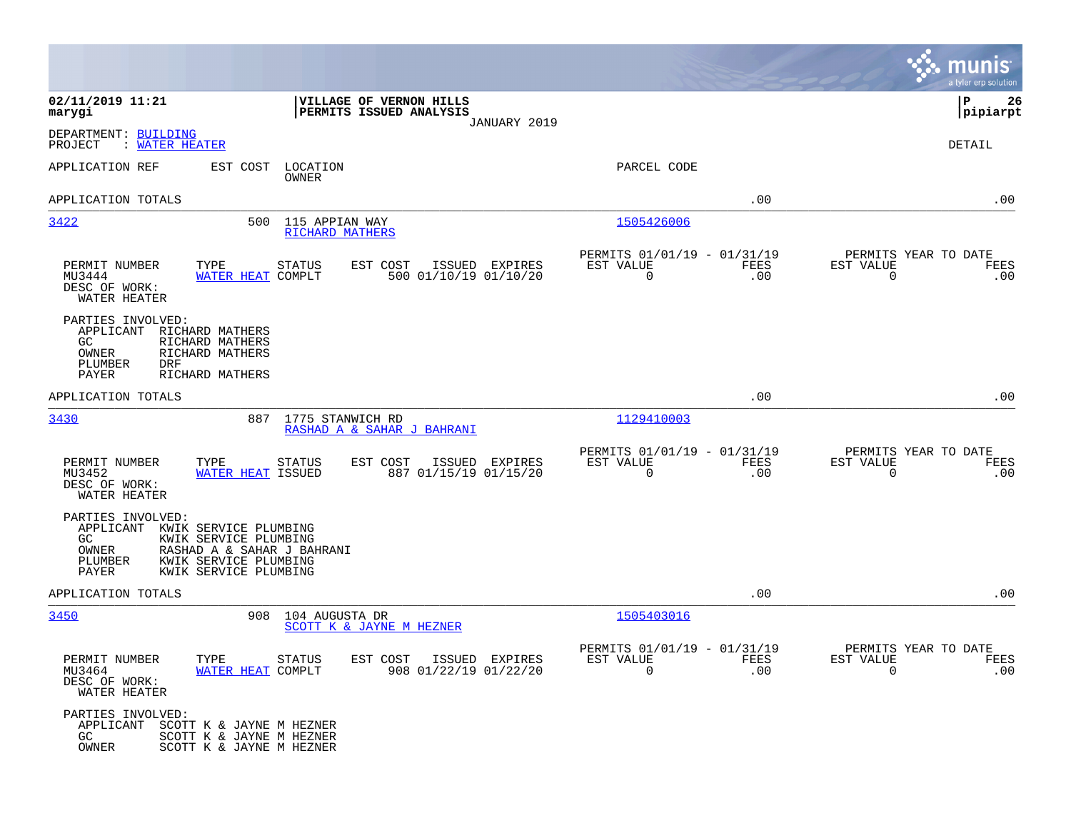|                                                                                                                                                                                                     |                                                                    |                                                         |             | munis<br>a tyler erp solution                                     |
|-----------------------------------------------------------------------------------------------------------------------------------------------------------------------------------------------------|--------------------------------------------------------------------|---------------------------------------------------------|-------------|-------------------------------------------------------------------|
| 02/11/2019 11:21<br>marygi                                                                                                                                                                          | VILLAGE OF VERNON HILLS<br>PERMITS ISSUED ANALYSIS<br>JANUARY 2019 |                                                         |             | l P<br>26<br> pipiarpt                                            |
| DEPARTMENT: BUILDING<br>PROJECT<br>: WATER HEATER                                                                                                                                                   |                                                                    |                                                         |             | DETAIL                                                            |
| APPLICATION REF<br>EST COST                                                                                                                                                                         | LOCATION<br>OWNER                                                  | PARCEL CODE                                             |             |                                                                   |
| APPLICATION TOTALS                                                                                                                                                                                  |                                                                    |                                                         | .00         | .00                                                               |
| 3422<br>500                                                                                                                                                                                         | 115 APPIAN WAY<br><b>RICHARD MATHERS</b>                           | 1505426006                                              |             |                                                                   |
| PERMIT NUMBER<br>TYPE<br>WATER HEAT COMPLT<br>MU3444<br>DESC OF WORK:<br>WATER HEATER                                                                                                               | STATUS<br>EST COST<br>ISSUED EXPIRES<br>500 01/10/19 01/10/20      | PERMITS 01/01/19 - 01/31/19<br>EST VALUE<br>0           | FEES<br>.00 | PERMITS YEAR TO DATE<br>EST VALUE<br>FEES<br>0<br>.00             |
| PARTIES INVOLVED:<br>APPLICANT<br>RICHARD MATHERS<br>GC<br>RICHARD MATHERS<br>RICHARD MATHERS<br>OWNER<br><b>DRF</b><br>PLUMBER<br>PAYER<br>RICHARD MATHERS                                         |                                                                    |                                                         |             |                                                                   |
| APPLICATION TOTALS                                                                                                                                                                                  |                                                                    |                                                         | .00         | .00                                                               |
| 887<br>3430                                                                                                                                                                                         | 1775 STANWICH RD<br>RASHAD A & SAHAR J BAHRANI                     | 1129410003                                              |             |                                                                   |
| PERMIT NUMBER<br>TYPE<br>MU3452<br>WATER HEAT ISSUED<br>DESC OF WORK:<br>WATER HEATER                                                                                                               | STATUS<br>EST COST<br>ISSUED EXPIRES<br>887 01/15/19 01/15/20      | PERMITS 01/01/19 - 01/31/19<br>EST VALUE<br>$\mathbf 0$ | FEES<br>.00 | PERMITS YEAR TO DATE<br>EST VALUE<br>FEES<br>$\mathbf 0$<br>.00   |
| PARTIES INVOLVED:<br>APPLICANT<br>KWIK SERVICE PLUMBING<br>GC<br>KWIK SERVICE PLUMBING<br>OWNER<br>RASHAD A & SAHAR J BAHRANI<br>PLUMBER<br>KWIK SERVICE PLUMBING<br>KWIK SERVICE PLUMBING<br>PAYER |                                                                    |                                                         |             |                                                                   |
| APPLICATION TOTALS                                                                                                                                                                                  |                                                                    |                                                         | .00         | .00                                                               |
| 3450<br>908                                                                                                                                                                                         | 104 AUGUSTA DR<br>SCOTT K & JAYNE M HEZNER                         | 1505403016                                              |             |                                                                   |
| PERMIT NUMBER<br>TYPE STATUS<br>MU3464<br>WATER HEAT COMPLT<br>DESC OF WORK:<br>WATER HEATER                                                                                                        | EST COST ISSUED EXPIRES<br>908 01/22/19 01/22/20                   | PERMITS 01/01/19 - 01/31/19<br>EST VALUE<br>$\Omega$    | FEES<br>.00 | PERMITS YEAR TO DATE<br>EST VALUE<br>FEES<br>$\Omega$<br>$.00 \,$ |
| PARTIES INVOLVED:<br>APPLICANT SCOTT K & JAYNE M HEZNER<br>GC<br>SCOTT K & JAYNE M HEZNER<br>OWNER<br>SCOTT K & JAYNE M HEZNER                                                                      |                                                                    |                                                         |             |                                                                   |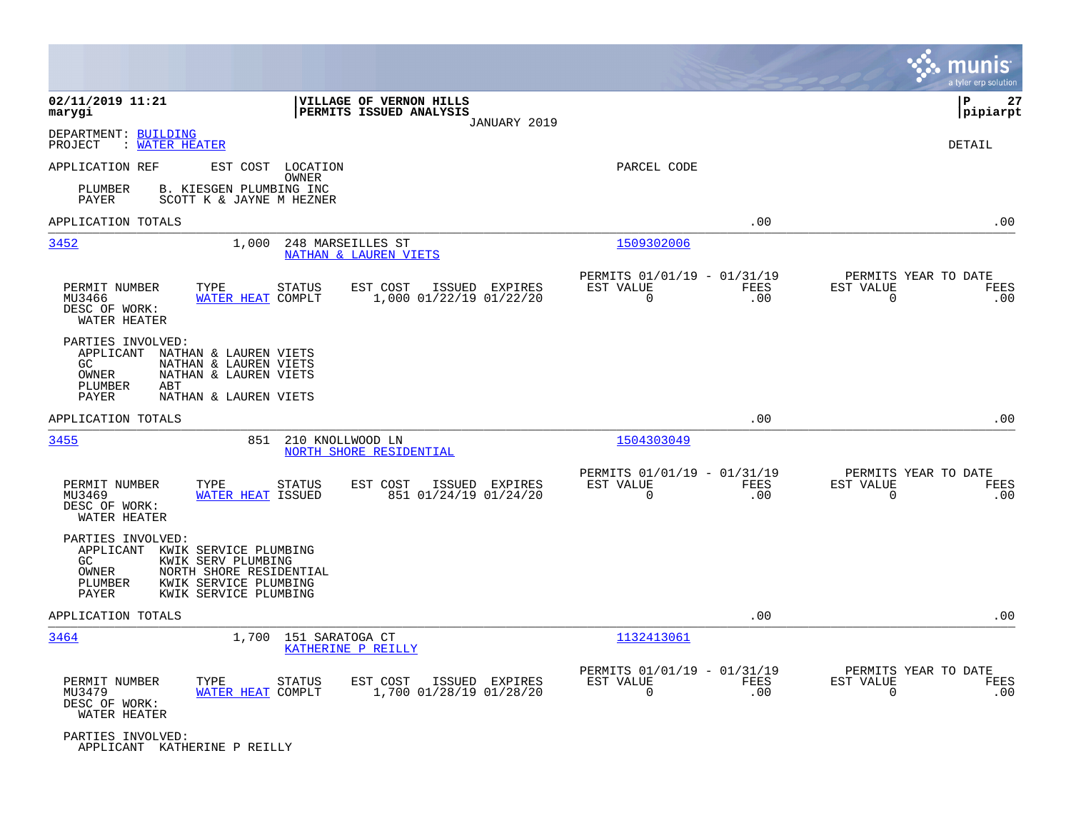|                                                                                                                                                                                               |                                                                        |                                                         |             | munis<br>a tyler erp solution                                   |
|-----------------------------------------------------------------------------------------------------------------------------------------------------------------------------------------------|------------------------------------------------------------------------|---------------------------------------------------------|-------------|-----------------------------------------------------------------|
| 02/11/2019 11:21<br>marygi                                                                                                                                                                    | VILLAGE OF VERNON HILLS<br>PERMITS ISSUED ANALYSIS<br>JANUARY 2019     |                                                         |             | P<br>27<br> pipiarpt                                            |
| DEPARTMENT: BUILDING<br>: WATER HEATER<br>PROJECT                                                                                                                                             |                                                                        |                                                         |             | DETAIL                                                          |
| APPLICATION REF<br>EST COST LOCATION<br>B. KIESGEN PLUMBING INC                                                                                                                               | OWNER                                                                  | PARCEL CODE                                             |             |                                                                 |
| PLUMBER<br><b>PAYER</b><br>SCOTT K & JAYNE M HEZNER                                                                                                                                           |                                                                        |                                                         |             |                                                                 |
| APPLICATION TOTALS                                                                                                                                                                            |                                                                        |                                                         | .00         | .00                                                             |
| 3452<br>1,000                                                                                                                                                                                 | 248 MARSEILLES ST<br><b>NATHAN &amp; LAUREN VIETS</b>                  | 1509302006                                              |             |                                                                 |
| PERMIT NUMBER<br>TYPE<br>WATER HEAT COMPLT<br>MU3466<br>DESC OF WORK:<br>WATER HEATER                                                                                                         | EST COST<br><b>STATUS</b><br>ISSUED EXPIRES<br>1,000 01/22/19 01/22/20 | PERMITS 01/01/19 - 01/31/19<br>EST VALUE<br>$\mathbf 0$ | FEES<br>.00 | PERMITS YEAR TO DATE<br>EST VALUE<br>FEES<br>$\mathbf 0$<br>.00 |
| PARTIES INVOLVED:<br>APPLICANT<br>NATHAN & LAUREN VIETS<br>GC<br>NATHAN & LAUREN VIETS<br>OWNER<br>NATHAN & LAUREN VIETS<br>PLUMBER<br>ABT<br>NATHAN & LAUREN VIETS<br>PAYER                  |                                                                        |                                                         |             |                                                                 |
| APPLICATION TOTALS                                                                                                                                                                            |                                                                        |                                                         | .00         | .00                                                             |
| 3455<br>851                                                                                                                                                                                   | 210 KNOLLWOOD LN<br>NORTH SHORE RESIDENTIAL                            | 1504303049                                              |             |                                                                 |
| PERMIT NUMBER<br>TYPE<br>MU3469<br>WATER HEAT ISSUED<br>DESC OF WORK:<br>WATER HEATER                                                                                                         | ISSUED EXPIRES<br><b>STATUS</b><br>EST COST<br>851 01/24/19 01/24/20   | PERMITS 01/01/19 - 01/31/19<br>EST VALUE<br>$\mathbf 0$ | FEES<br>.00 | PERMITS YEAR TO DATE<br>EST VALUE<br>FEES<br>0<br>.00           |
| PARTIES INVOLVED:<br>APPLICANT<br>KWIK SERVICE PLUMBING<br>GC<br>KWIK SERV PLUMBING<br>OWNER<br>NORTH SHORE RESIDENTIAL<br>PLUMBER<br>KWIK SERVICE PLUMBING<br>PAYER<br>KWIK SERVICE PLUMBING |                                                                        |                                                         |             |                                                                 |
| APPLICATION TOTALS                                                                                                                                                                            |                                                                        |                                                         | .00         | .00                                                             |
| 3464<br>1,700                                                                                                                                                                                 | 151 SARATOGA CT<br>KATHERINE P REILLY                                  | 1132413061                                              |             |                                                                 |
| PERMIT NUMBER<br>TYPE<br>MU3479<br>WATER HEAT COMPLT<br>DESC OF WORK:<br>WATER HEATER                                                                                                         | EST COST<br>ISSUED EXPIRES<br><b>STATUS</b><br>1,700 01/28/19 01/28/20 | PERMITS 01/01/19 - 01/31/19<br>EST VALUE<br>$\mathbf 0$ | FEES<br>.00 | PERMITS YEAR TO DATE<br>EST VALUE<br>FEES<br>0<br>.00           |
| PARTIES INVOLVED:<br>APPLICANT KATHERINE P REILLY                                                                                                                                             |                                                                        |                                                         |             |                                                                 |

**College**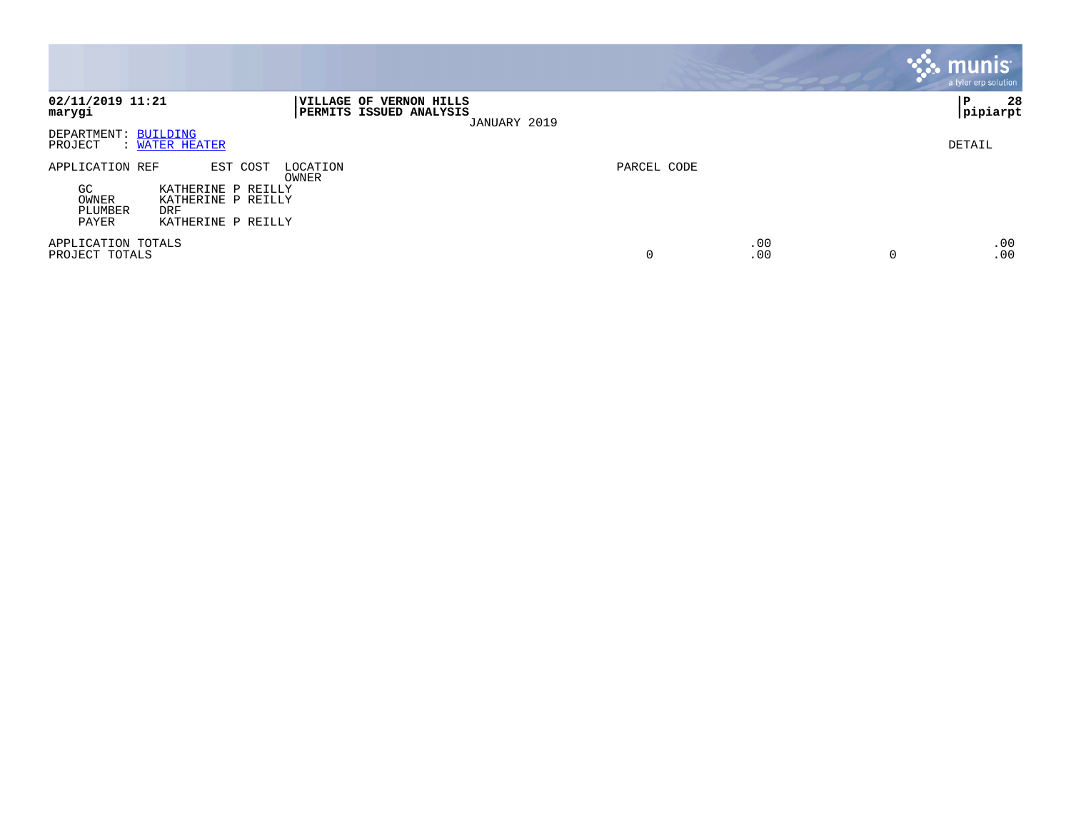|                                                                                                                                                              |             |            |          | <b>munis</b><br>a tyler erp solution |
|--------------------------------------------------------------------------------------------------------------------------------------------------------------|-------------|------------|----------|--------------------------------------|
| 02/11/2019 11:21<br><b>VILLAGE OF VERNON HILLS</b><br><b>PERMITS ISSUED ANALYSIS</b><br>marygi<br>JANUARY 2019                                               |             |            |          | 28<br>l P<br> pipiarpt               |
| DEPARTMENT: BUILDING<br>PROJECT<br>: WATER HEATER                                                                                                            |             |            |          | DETAIL                               |
| EST COST<br>APPLICATION REF<br>LOCATION<br>OWNER<br>GC<br>KATHERINE P REILLY<br>OWNER<br>KATHERINE P REILLY<br>PLUMBER<br>DRF<br>PAYER<br>KATHERINE P REILLY | PARCEL CODE |            |          |                                      |
| APPLICATION TOTALS<br>PROJECT TOTALS                                                                                                                         | 0           | .00<br>.00 | $\Omega$ | .00<br>.00                           |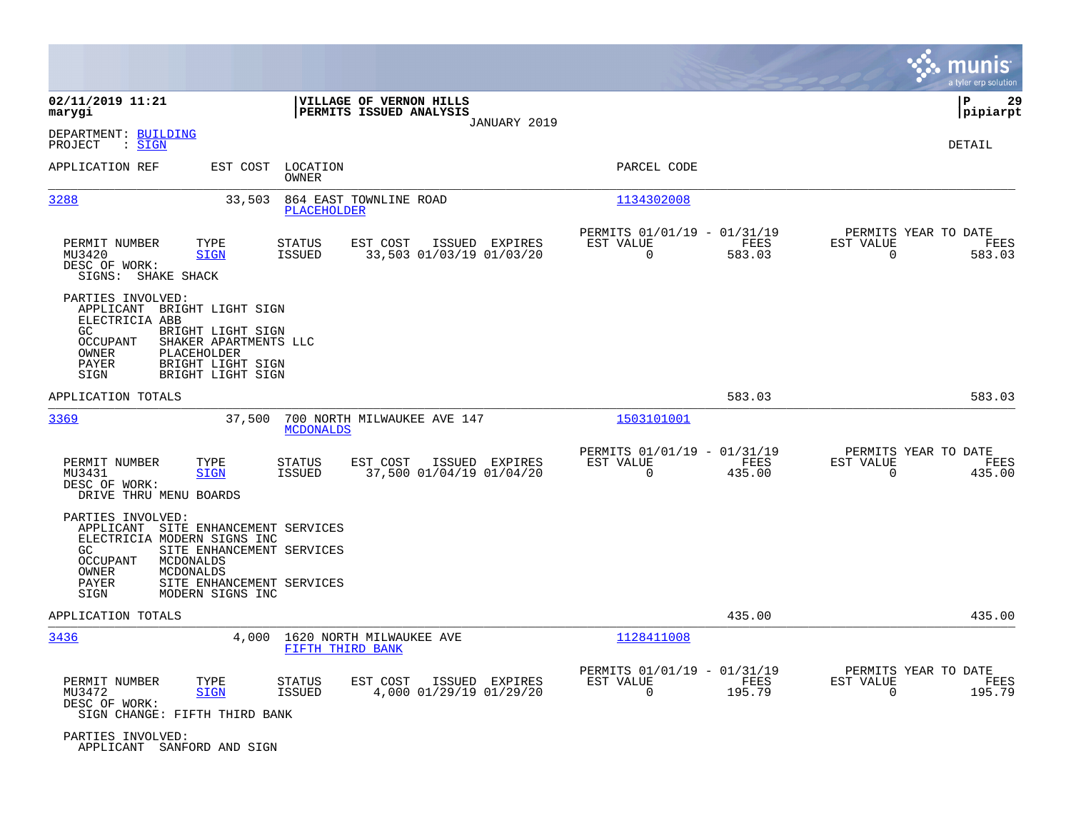|                                                                                                                                                                                                                              |                                                                                          |                                                                           | munis<br>a tyler erp solution                                      |
|------------------------------------------------------------------------------------------------------------------------------------------------------------------------------------------------------------------------------|------------------------------------------------------------------------------------------|---------------------------------------------------------------------------|--------------------------------------------------------------------|
| 02/11/2019 11:21<br>marygi                                                                                                                                                                                                   | VILLAGE OF VERNON HILLS<br>PERMITS ISSUED ANALYSIS<br>JANUARY 2019                       |                                                                           | lР<br>29<br> pipiarpt                                              |
| DEPARTMENT: BUILDING<br>: <u>SIGN</u><br>PROJECT                                                                                                                                                                             |                                                                                          |                                                                           | DETAIL                                                             |
| APPLICATION REF<br>EST COST                                                                                                                                                                                                  | LOCATION<br>OWNER                                                                        | PARCEL CODE                                                               |                                                                    |
| 3288<br>33,503                                                                                                                                                                                                               | 864 EAST TOWNLINE ROAD<br><b>PLACEHOLDER</b>                                             | 1134302008                                                                |                                                                    |
| PERMIT NUMBER<br>TYPE<br>MU3420<br><b>SIGN</b><br>DESC OF WORK:<br>SIGNS: SHAKE SHACK                                                                                                                                        | <b>STATUS</b><br>EST COST<br>ISSUED EXPIRES<br>33,503 01/03/19 01/03/20<br><b>ISSUED</b> | PERMITS 01/01/19 - 01/31/19<br>EST VALUE<br>FEES<br>583.03<br>0           | PERMITS YEAR TO DATE<br>EST VALUE<br>FEES<br>583.03<br>0           |
| PARTIES INVOLVED:<br>APPLICANT BRIGHT LIGHT SIGN<br>ELECTRICIA ABB<br>GC<br>BRIGHT LIGHT SIGN<br><b>OCCUPANT</b><br>SHAKER APARTMENTS LLC<br>OWNER<br>PLACEHOLDER<br>BRIGHT LIGHT SIGN<br>PAYER<br>BRIGHT LIGHT SIGN<br>SIGN |                                                                                          |                                                                           |                                                                    |
| APPLICATION TOTALS                                                                                                                                                                                                           |                                                                                          | 583.03                                                                    | 583.03                                                             |
| 3369<br>37,500                                                                                                                                                                                                               | 700 NORTH MILWAUKEE AVE 147<br><b>MCDONALDS</b>                                          | 1503101001                                                                |                                                                    |
| PERMIT NUMBER<br>TYPE<br>MU3431<br><b>SIGN</b><br>DESC OF WORK:<br>DRIVE THRU MENU BOARDS                                                                                                                                    | <b>STATUS</b><br>EST COST<br>ISSUED EXPIRES<br>37,500 01/04/19 01/04/20<br><b>ISSUED</b> | PERMITS 01/01/19 - 01/31/19<br>FEES<br>EST VALUE<br>$\mathbf 0$<br>435.00 | PERMITS YEAR TO DATE<br>EST VALUE<br>FEES<br>$\mathbf 0$<br>435.00 |
| PARTIES INVOLVED:<br>APPLICANT SITE ENHANCEMENT SERVICES<br>ELECTRICIA MODERN SIGNS INC<br>GC<br><b>OCCUPANT</b><br>MCDONALDS<br>MCDONALDS<br>OWNER<br>PAYER<br>MODERN SIGNS INC<br>SIGN                                     | SITE ENHANCEMENT SERVICES<br>SITE ENHANCEMENT SERVICES                                   |                                                                           |                                                                    |
| APPLICATION TOTALS                                                                                                                                                                                                           |                                                                                          | 435.00                                                                    | 435.00                                                             |
| 3436                                                                                                                                                                                                                         | 1620 NORTH MILWAUKEE AVE<br>4,000<br>FIFTH THIRD BANK                                    | 1128411008                                                                |                                                                    |
| PERMIT NUMBER<br>TYPE<br>MU3472<br><b>SIGN</b><br>DESC OF WORK:<br>SIGN CHANGE: FIFTH THIRD BANK                                                                                                                             | <b>STATUS</b><br>EST COST<br>ISSUED EXPIRES<br>4,000 01/29/19 01/29/20<br><b>ISSUED</b>  | PERMITS 01/01/19 - 01/31/19<br>EST VALUE<br>FEES<br>$\mathbf 0$<br>195.79 | PERMITS YEAR TO DATE<br>EST VALUE<br>FEES<br>$\mathbf 0$<br>195.79 |
| PARTIES INVOLVED:<br>APPLICANT SANFORD AND SIGN                                                                                                                                                                              |                                                                                          |                                                                           |                                                                    |